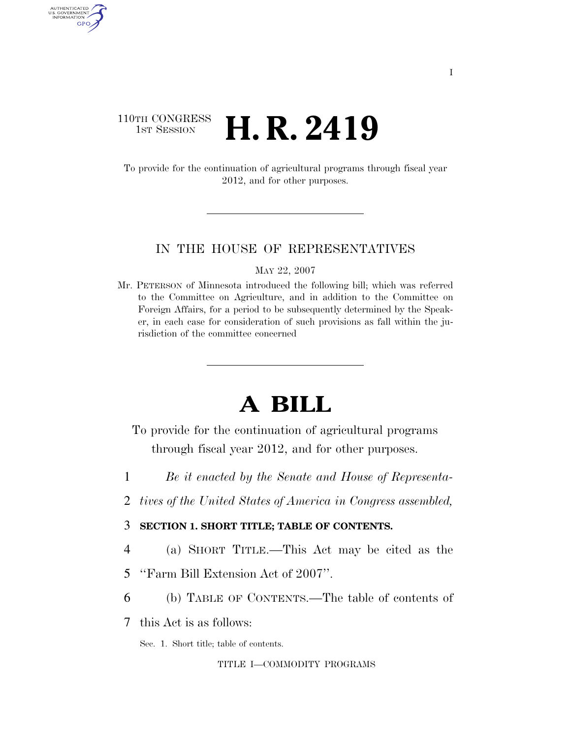### 110TH CONGRESS **1st Session H. R. 2419**

AUTHENTICATED U.S. GOVERNMENT GPO

> To provide for the continuation of agricultural programs through fiscal year 2012, and for other purposes.

#### IN THE HOUSE OF REPRESENTATIVES

MAY 22, 2007

Mr. PETERSON of Minnesota introduced the following bill; which was referred to the Committee on Agriculture, and in addition to the Committee on Foreign Affairs, for a period to be subsequently determined by the Speaker, in each case for consideration of such provisions as fall within the jurisdiction of the committee concerned

## **A BILL**

- To provide for the continuation of agricultural programs through fiscal year 2012, and for other purposes.
- 1 *Be it enacted by the Senate and House of Representa-*
- 2 *tives of the United States of America in Congress assembled,*
- 3 **SECTION 1. SHORT TITLE; TABLE OF CONTENTS.**
- 4 (a) SHORT TITLE.—This Act may be cited as the
- 5 ''Farm Bill Extension Act of 2007''.
- 6 (b) TABLE OF CONTENTS.—The table of contents of
- 7 this Act is as follows:

Sec. 1. Short title; table of contents.

#### TITLE I—COMMODITY PROGRAMS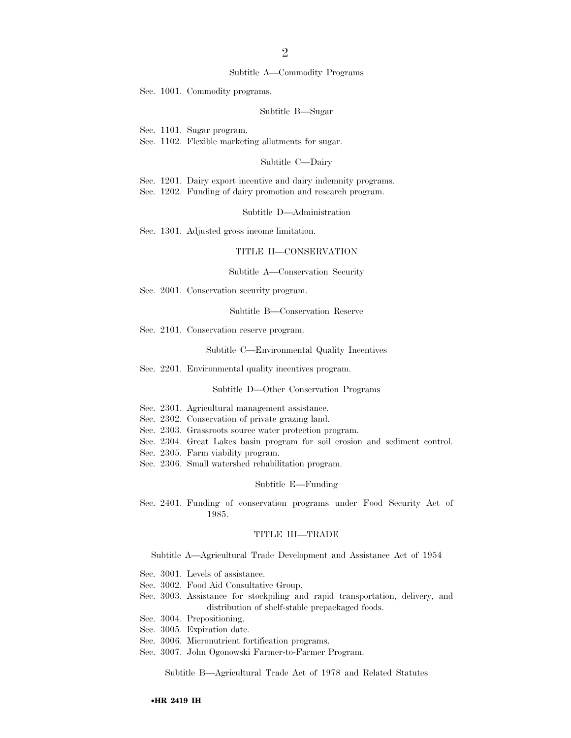#### 2

#### Subtitle A—Commodity Programs

Sec. 1001. Commodity programs.

#### Subtitle B—Sugar

Sec. 1101. Sugar program.

Sec. 1102. Flexible marketing allotments for sugar.

#### Subtitle C—Dairy

Sec. 1201. Dairy export incentive and dairy indemnity programs.

Sec. 1202. Funding of dairy promotion and research program.

Subtitle D—Administration

Sec. 1301. Adjusted gross income limitation.

#### TITLE II—CONSERVATION

#### Subtitle A—Conservation Security

Sec. 2001. Conservation security program.

Subtitle B—Conservation Reserve

Sec. 2101. Conservation reserve program.

Subtitle C—Environmental Quality Incentives

Sec. 2201. Environmental quality incentives program.

Subtitle D—Other Conservation Programs

- Sec. 2301. Agricultural management assistance.
- Sec. 2302. Conservation of private grazing land.
- Sec. 2303. Grassroots source water protection program.
- Sec. 2304. Great Lakes basin program for soil erosion and sediment control.
- Sec. 2305. Farm viability program.
- Sec. 2306. Small watershed rehabilitation program.

#### Subtitle E—Funding

Sec. 2401. Funding of conservation programs under Food Security Act of 1985.

#### TITLE III—TRADE

Subtitle A—Agricultural Trade Development and Assistance Act of 1954

- Sec. 3001. Levels of assistance.
- Sec. 3002. Food Aid Consultative Group.
- Sec. 3003. Assistance for stockpiling and rapid transportation, delivery, and distribution of shelf-stable prepackaged foods.
- Sec. 3004. Prepositioning.
- Sec. 3005. Expiration date.
- Sec. 3006. Micronutrient fortification programs.
- Sec. 3007. John Ogonowski Farmer-to-Farmer Program.

Subtitle B—Agricultural Trade Act of 1978 and Related Statutes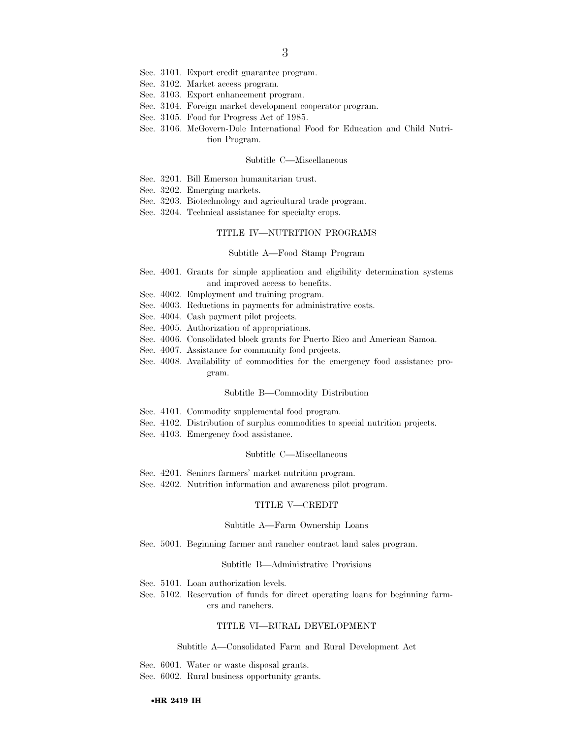- Sec. 3101. Export credit guarantee program.
- Sec. 3102. Market access program.
- Sec. 3103. Export enhancement program.
- Sec. 3104. Foreign market development cooperator program.
- Sec. 3105. Food for Progress Act of 1985.
- Sec. 3106. McGovern-Dole International Food for Education and Child Nutrition Program.

#### Subtitle C—Miscellaneous

- Sec. 3201. Bill Emerson humanitarian trust.
- Sec. 3202. Emerging markets.
- Sec. 3203. Biotechnology and agricultural trade program.
- Sec. 3204. Technical assistance for specialty crops.

#### TITLE IV—NUTRITION PROGRAMS

#### Subtitle A—Food Stamp Program

- Sec. 4001. Grants for simple application and eligibility determination systems and improved access to benefits.
- Sec. 4002. Employment and training program.
- Sec. 4003. Reductions in payments for administrative costs.
- Sec. 4004. Cash payment pilot projects.
- Sec. 4005. Authorization of appropriations.
- Sec. 4006. Consolidated block grants for Puerto Rico and American Samoa.
- Sec. 4007. Assistance for community food projects.
- Sec. 4008. Availability of commodities for the emergency food assistance program.

#### Subtitle B—Commodity Distribution

- Sec. 4101. Commodity supplemental food program.
- Sec. 4102. Distribution of surplus commodities to special nutrition projects.
- Sec. 4103. Emergency food assistance.

#### Subtitle C—Miscellaneous

- Sec. 4201. Seniors farmers' market nutrition program.
- Sec. 4202. Nutrition information and awareness pilot program.

#### TITLE V—CREDIT

#### Subtitle A—Farm Ownership Loans

Sec. 5001. Beginning farmer and rancher contract land sales program.

#### Subtitle B—Administrative Provisions

- Sec. 5101. Loan authorization levels.
- Sec. 5102. Reservation of funds for direct operating loans for beginning farmers and ranchers.

#### TITLE VI—RURAL DEVELOPMENT

#### Subtitle A—Consolidated Farm and Rural Development Act

Sec. 6001. Water or waste disposal grants. Sec. 6002. Rural business opportunity grants.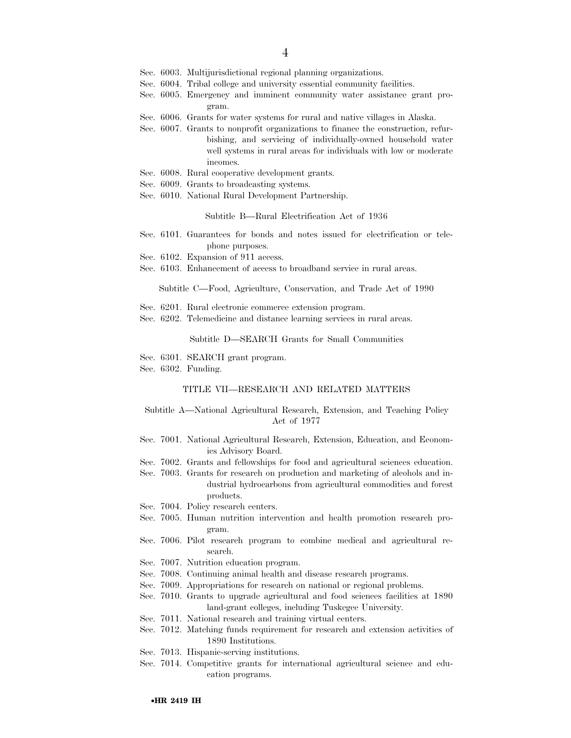- Sec. 6003. Multijurisdictional regional planning organizations.
- Sec. 6004. Tribal college and university essential community facilities.
- Sec. 6005. Emergency and imminent community water assistance grant program.
- Sec. 6006. Grants for water systems for rural and native villages in Alaska.
- Sec. 6007. Grants to nonprofit organizations to finance the construction, refurbishing, and servicing of individually-owned household water well systems in rural areas for individuals with low or moderate incomes.
- Sec. 6008. Rural cooperative development grants.
- Sec. 6009. Grants to broadcasting systems.
- Sec. 6010. National Rural Development Partnership.

#### Subtitle B—Rural Electrification Act of 1936

- Sec. 6101. Guarantees for bonds and notes issued for electrification or telephone purposes.
- Sec. 6102. Expansion of 911 access.
- Sec. 6103. Enhancement of access to broadband service in rural areas.

Subtitle C—Food, Agriculture, Conservation, and Trade Act of 1990

- Sec. 6201. Rural electronic commerce extension program.
- Sec. 6202. Telemedicine and distance learning services in rural areas.

Subtitle D—SEARCH Grants for Small Communities

Sec. 6301. SEARCH grant program.

Sec. 6302. Funding.

#### TITLE VII—RESEARCH AND RELATED MATTERS

#### Subtitle A—National Agricultural Research, Extension, and Teaching Policy Act of 1977

- Sec. 7001. National Agricultural Research, Extension, Education, and Economics Advisory Board.
- Sec. 7002. Grants and fellowships for food and agricultural sciences education.
- Sec. 7003. Grants for research on production and marketing of alcohols and industrial hydrocarbons from agricultural commodities and forest products.
- Sec. 7004. Policy research centers.
- Sec. 7005. Human nutrition intervention and health promotion research program.
- Sec. 7006. Pilot research program to combine medical and agricultural research.
- Sec. 7007. Nutrition education program.
- Sec. 7008. Continuing animal health and disease research programs.
- Sec. 7009. Appropriations for research on national or regional problems.
- Sec. 7010. Grants to upgrade agricultural and food sciences facilities at 1890 land-grant colleges, including Tuskegee University.
- Sec. 7011. National research and training virtual centers.
- Sec. 7012. Matching funds requirement for research and extension activities of 1890 Institutions.
- Sec. 7013. Hispanic-serving institutions.
- Sec. 7014. Competitive grants for international agricultural science and education programs.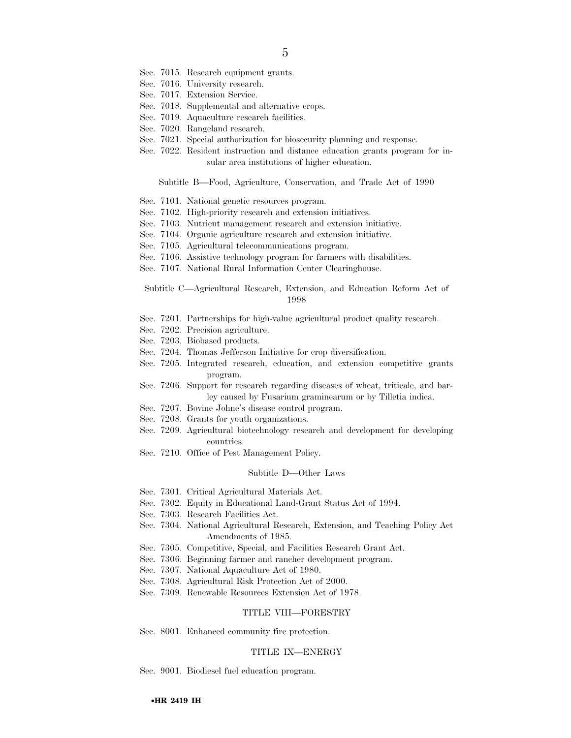- Sec. 7015. Research equipment grants.
- Sec. 7016. University research.
- Sec. 7017. Extension Service.
- Sec. 7018. Supplemental and alternative crops.
- Sec. 7019. Aquaculture research facilities.
- Sec. 7020. Rangeland research.
- Sec. 7021. Special authorization for biosecurity planning and response.
- Sec. 7022. Resident instruction and distance education grants program for insular area institutions of higher education.

Subtitle B—Food, Agriculture, Conservation, and Trade Act of 1990

- Sec. 7101. National genetic resources program.
- Sec. 7102. High-priority research and extension initiatives.
- Sec. 7103. Nutrient management research and extension initiative.
- Sec. 7104. Organic agriculture research and extension initiative.
- Sec. 7105. Agricultural telecommunications program.
- Sec. 7106. Assistive technology program for farmers with disabilities.
- Sec. 7107. National Rural Information Center Clearinghouse.

Subtitle C—Agricultural Research, Extension, and Education Reform Act of 1998

- Sec. 7201. Partnerships for high-value agricultural product quality research.
- Sec. 7202. Precision agriculture.
- Sec. 7203. Biobased products.
- Sec. 7204. Thomas Jefferson Initiative for crop diversification.
- Sec. 7205. Integrated research, education, and extension competitive grants program.
- Sec. 7206. Support for research regarding diseases of wheat, triticale, and barley caused by Fusarium graminearum or by Tilletia indica.
- Sec. 7207. Bovine Johne's disease control program.
- Sec. 7208. Grants for youth organizations.
- Sec. 7209. Agricultural biotechnology research and development for developing countries.
- Sec. 7210. Office of Pest Management Policy.

#### Subtitle D—Other Laws

- Sec. 7301. Critical Agricultural Materials Act.
- Sec. 7302. Equity in Educational Land-Grant Status Act of 1994.
- Sec. 7303. Research Facilities Act.
- Sec. 7304. National Agricultural Research, Extension, and Teaching Policy Act Amendments of 1985.
- Sec. 7305. Competitive, Special, and Facilities Research Grant Act.
- Sec. 7306. Beginning farmer and rancher development program.
- Sec. 7307. National Aquaculture Act of 1980.
- Sec. 7308. Agricultural Risk Protection Act of 2000.
- Sec. 7309. Renewable Resources Extension Act of 1978.

#### TITLE VIII—FORESTRY

Sec. 8001. Enhanced community fire protection.

#### TITLE IX—ENERGY

Sec. 9001. Biodiesel fuel education program.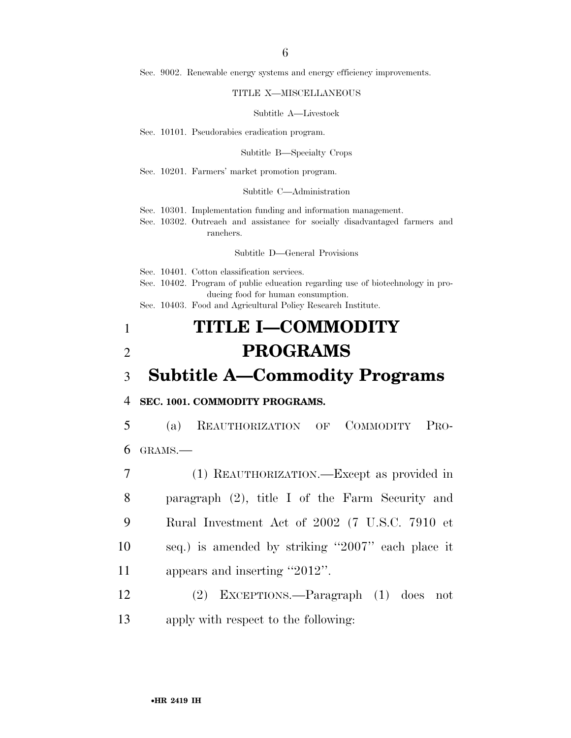Sec. 9002. Renewable energy systems and energy efficiency improvements.

#### TITLE X—MISCELLANEOUS

#### Subtitle A—Livestock

Sec. 10101. Pseudorabies eradication program.

Subtitle B—Specialty Crops

Sec. 10201. Farmers' market promotion program.

#### Subtitle C—Administration

Sec. 10301. Implementation funding and information management.

Sec. 10302. Outreach and assistance for socially disadvantaged farmers and ranchers.

Subtitle D—General Provisions

Sec. 10401. Cotton classification services.

- Sec. 10402. Program of public education regarding use of biotechnology in producing food for human consumption.
- Sec. 10403. Food and Agricultural Policy Research Institute.

## 1 **TITLE I—COMMODITY**  2 **PROGRAMS**

### 3 **Subtitle A—Commodity Programs**

#### 4 **SEC. 1001. COMMODITY PROGRAMS.**

5 (a) REAUTHORIZATION OF COMMODITY PRO-6 GRAMS.—

 (1) REAUTHORIZATION.—Except as provided in paragraph (2), title I of the Farm Security and Rural Investment Act of 2002 (7 U.S.C. 7910 et seq.) is amended by striking ''2007'' each place it 11 appears and inserting "2012".

12 (2) EXCEPTIONS.—Paragraph (1) does not 13 apply with respect to the following: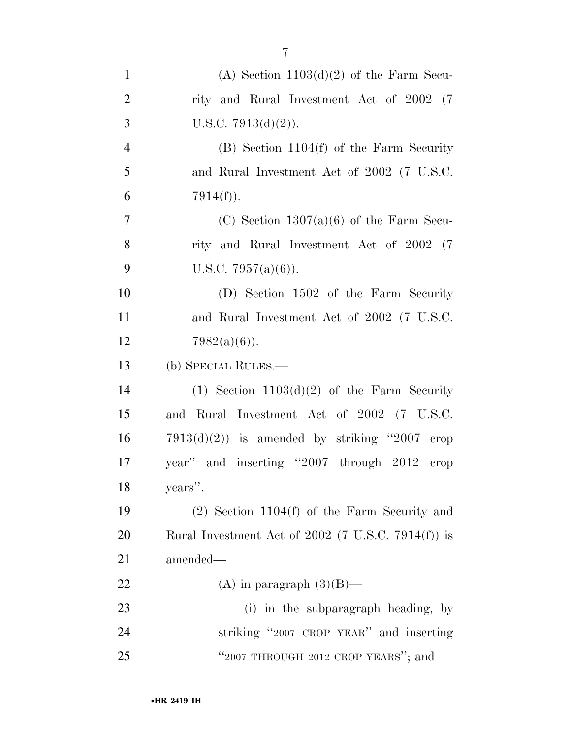| $\mathbf{1}$   | (A) Section $1103(d)(2)$ of the Farm Secu-           |
|----------------|------------------------------------------------------|
| $\overline{2}$ | rity and Rural Investment Act of 2002 (7)            |
| 3              | U.S.C. $7913(d)(2)$ ).                               |
| $\overline{4}$ | $(B)$ Section 1104 $(f)$ of the Farm Security        |
| 5              | and Rural Investment Act of 2002 (7 U.S.C.           |
| 6              | $7914(f)$ ).                                         |
| $\tau$         | (C) Section $1307(a)(6)$ of the Farm Secu-           |
| 8              | rity and Rural Investment Act of 2002 (7)            |
| 9              | U.S.C. $7957(a)(6)$ ).                               |
| 10             | (D) Section 1502 of the Farm Security                |
| 11             | and Rural Investment Act of 2002 (7 U.S.C.           |
| 12             | $7982(a)(6)$ ).                                      |
| 13             | (b) SPECIAL RULES.—                                  |
| 14             | $(1)$ Section 1103 $(d)(2)$ of the Farm Security     |
| 15             | and Rural Investment Act of 2002 (7 U.S.C.           |
| 16             | $7913(d)(2)$ is amended by striking "2007 erop       |
| 17             | year" and inserting "2007 through 2012 crop          |
| 18             | years".                                              |
| 19             | $(2)$ Section 1104 $(f)$ of the Farm Security and    |
| 20             | Rural Investment Act of $2002$ (7 U.S.C. 7914(f)) is |
| 21             | amended—                                             |
| 22             | (A) in paragraph $(3)(B)$ —                          |
| 23             | (i) in the subparagraph heading, by                  |
| 24             | striking "2007 CROP YEAR" and inserting              |
| 25             | "2007 THROUGH 2012 CROP YEARS"; and                  |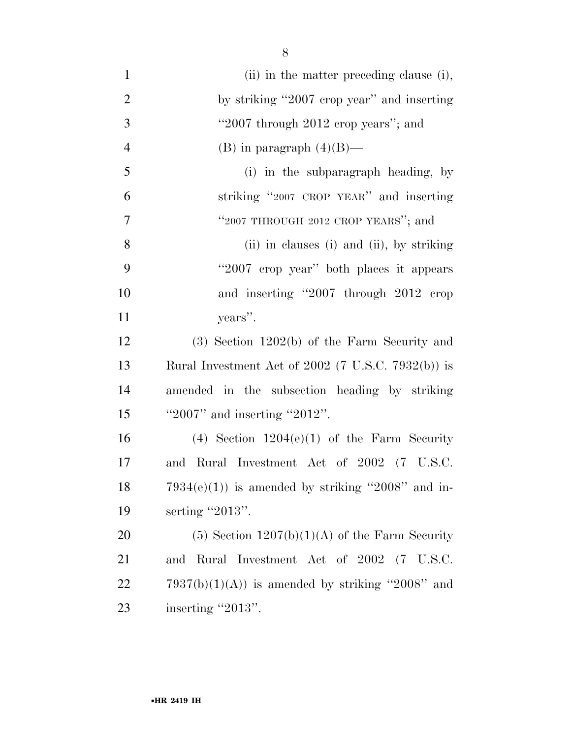| $\mathbf{1}$   | (ii) in the matter preceding clause (i),           |
|----------------|----------------------------------------------------|
| $\overline{2}$ | by striking "2007 crop year" and inserting         |
| 3              | "2007 through 2012 erop years"; and                |
| $\overline{4}$ | (B) in paragraph $(4)(B)$ —                        |
| 5              | (i) in the subparagraph heading, by                |
| 6              | striking "2007 CROP YEAR" and inserting            |
| $\overline{7}$ | "2007 THROUGH 2012 CROP YEARS"; and                |
| 8              | (ii) in clauses (i) and (ii), by striking          |
| 9              | "2007 erop year" both places it appears            |
| 10             | and inserting "2007 through 2012 crop              |
| 11             | years".                                            |
| 12             | $(3)$ Section 1202 $(b)$ of the Farm Security and  |
| 13             | Rural Investment Act of 2002 (7 U.S.C. 7932(b)) is |
| 14             | amended in the subsection heading by striking      |
| 15             | "2007" and inserting "2012".                       |
| 16             | (4) Section $1204(e)(1)$ of the Farm Security      |
| 17             | and Rural Investment Act of 2002 (7 U.S.C.         |
| 18             | $7934(e)(1)$ is amended by striking "2008" and in- |
| 19             | serting "2013".                                    |
| 20             | $(5)$ Section $1207(b)(1)(A)$ of the Farm Security |
| 21             | and Rural Investment Act of 2002 (7 U.S.C.         |
| 22             | $7937(b)(1)(A)$ is amended by striking "2008" and  |
| 23             | inserting "2013".                                  |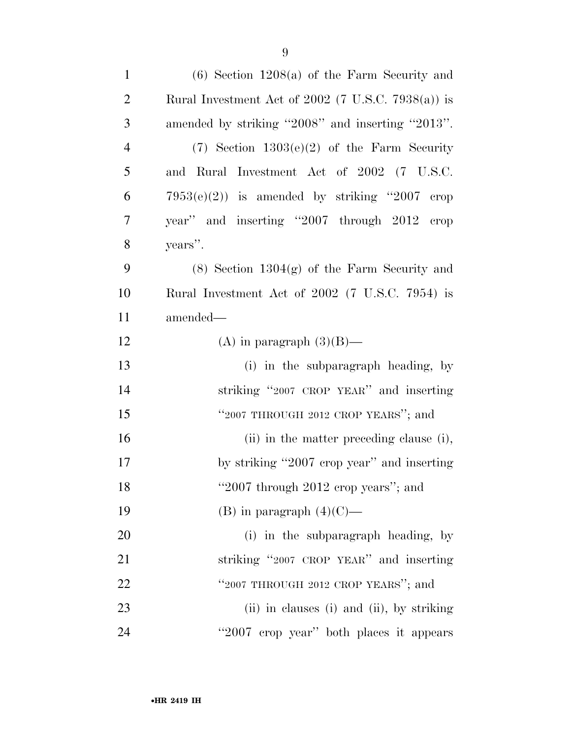| $\mathbf{1}$   | $(6)$ Section 1208 $(a)$ of the Farm Security and    |
|----------------|------------------------------------------------------|
| $\overline{2}$ | Rural Investment Act of $2002$ (7 U.S.C. 7938(a)) is |
| 3              | amended by striking "2008" and inserting "2013".     |
| $\overline{4}$ | $(7)$ Section $1303(e)(2)$ of the Farm Security      |
| 5              | and Rural Investment Act of 2002 (7 U.S.C.           |
| 6              | $7953(e)(2)$ is amended by striking "2007 erop       |
| $\tau$         | year" and inserting "2007 through 2012 crop          |
| 8              | years".                                              |
| 9              | $(8)$ Section 1304 $(g)$ of the Farm Security and    |
| 10             | Rural Investment Act of 2002 (7 U.S.C. 7954) is      |
| 11             | amended—                                             |
| 12             | (A) in paragraph $(3)(B)$ —                          |
| 13             | (i) in the subparagraph heading, by                  |
| 14             | striking "2007 CROP YEAR" and inserting              |
| 15             | "2007 THROUGH 2012 CROP YEARS"; and                  |
| 16             | (ii) in the matter preceding clause (i),             |
| 17             | by striking "2007 erop year" and inserting           |
| 18             | "2007 through $2012$ crop years"; and                |
| 19             | (B) in paragraph $(4)(C)$ —                          |
| 20             | (i) in the subparagraph heading, by                  |
| 21             | striking "2007 CROP YEAR" and inserting              |
| 22             | "2007 THROUGH 2012 CROP YEARS"; and                  |
| 23             | (ii) in clauses (i) and (ii), by striking            |
| 24             | "2007 crop year" both places it appears              |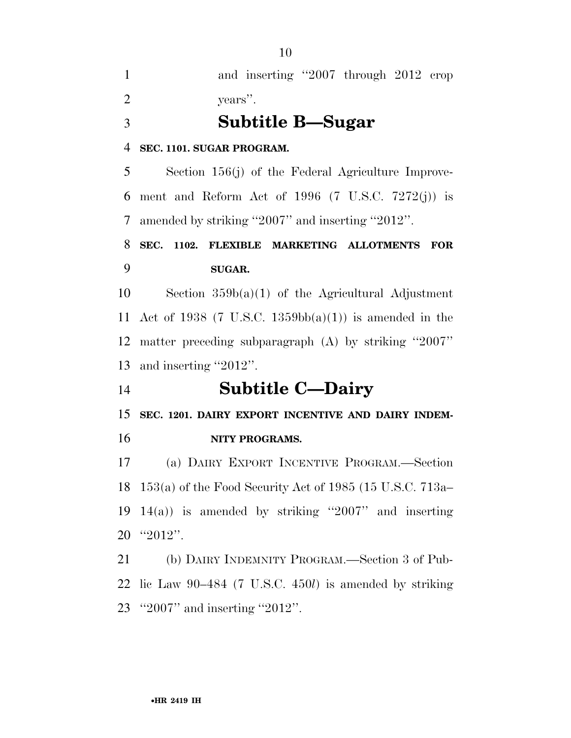and inserting ''2007 through 2012 crop years''.

**Subtitle B—Sugar** 

#### **SEC. 1101. SUGAR PROGRAM.**

 Section 156(j) of the Federal Agriculture Improve- ment and Reform Act of 1996 (7 U.S.C. 7272(j)) is amended by striking ''2007'' and inserting ''2012''.

### **SEC. 1102. FLEXIBLE MARKETING ALLOTMENTS FOR SUGAR.**

10 Section  $359b(a)(1)$  of the Agricultural Adjustment Act of 1938 (7 U.S.C. 1359bb(a)(1)) is amended in the matter preceding subparagraph (A) by striking ''2007'' and inserting ''2012''.

**Subtitle C—Dairy** 

**SEC. 1201. DAIRY EXPORT INCENTIVE AND DAIRY INDEM-**

### **NITY PROGRAMS.**

 (a) DAIRY EXPORT INCENTIVE PROGRAM.—Section 153(a) of the Food Security Act of 1985 (15 U.S.C. 713a– 19 14(a)) is amended by striking "2007" and inserting ''2012''.

 (b) DAIRY INDEMNITY PROGRAM.—Section 3 of Pub- lic Law 90–484 (7 U.S.C. 450*l*) is amended by striking ''2007'' and inserting ''2012''.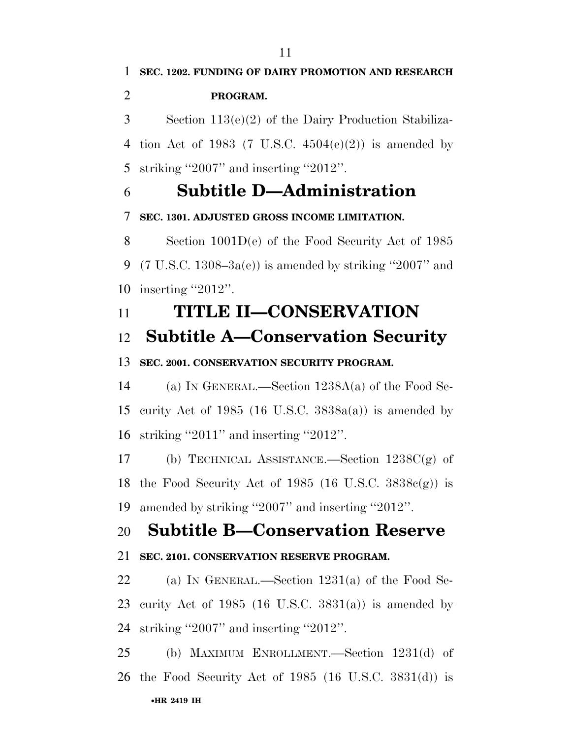4 tion Act of 1983 (7 U.S.C.  $4504(e)(2)$ ) is amended by striking ''2007'' and inserting ''2012''.

## **Subtitle D—Administration**

### **SEC. 1301. ADJUSTED GROSS INCOME LIMITATION.**

 Section 1001D(e) of the Food Security Act of 1985 9 (7 U.S.C. 1308–3a(e)) is amended by striking "2007" and inserting ''2012''.

## **TITLE II—CONSERVATION**

### **Subtitle A—Conservation Security**

### **SEC. 2001. CONSERVATION SECURITY PROGRAM.**

 (a) IN GENERAL.—Section 1238A(a) of the Food Se- curity Act of 1985 (16 U.S.C. 3838a(a)) is amended by striking ''2011'' and inserting ''2012''.

 (b) TECHNICAL ASSISTANCE.—Section 1238C(g) of 18 the Food Security Act of 1985 (16 U.S.C.  $3838c(g)$ ) is amended by striking ''2007'' and inserting ''2012''.

## **Subtitle B—Conservation Reserve**

### **SEC. 2101. CONSERVATION RESERVE PROGRAM.**

 (a) IN GENERAL.—Section 1231(a) of the Food Se-23 curity Act of 1985 (16 U.S.C.  $3831(a)$ ) is amended by striking ''2007'' and inserting ''2012''.

•**HR 2419 IH** (b) MAXIMUM ENROLLMENT.—Section 1231(d) of the Food Security Act of 1985 (16 U.S.C. 3831(d)) is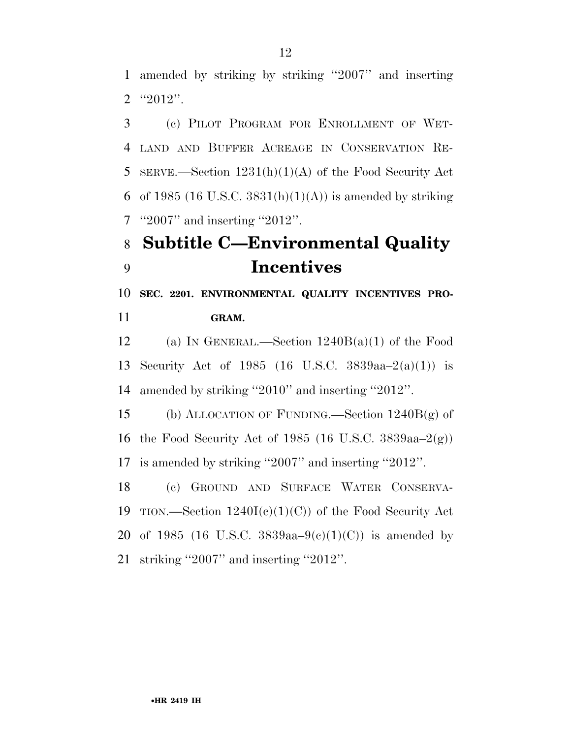amended by striking by striking ''2007'' and inserting ''2012''.

 (c) PILOT PROGRAM FOR ENROLLMENT OF WET- LAND AND BUFFER ACREAGE IN CONSERVATION RE- SERVE.—Section 1231(h)(1)(A) of the Food Security Act 6 of 1985 (16 U.S.C. 3831(h)(1)(A)) is amended by striking ''2007'' and inserting ''2012''.

## **Subtitle C—Environmental Quality Incentives**

 **SEC. 2201. ENVIRONMENTAL QUALITY INCENTIVES PRO-GRAM.** 

12 (a) IN GENERAL.—Section  $1240B(a)(1)$  of the Food Security Act of 1985 (16 U.S.C. 3839aa–2(a)(1)) is amended by striking ''2010'' and inserting ''2012''.

 (b) ALLOCATION OF FUNDING.—Section 1240B(g) of the Food Security Act of 1985 (16 U.S.C. 3839aa–2(g)) is amended by striking ''2007'' and inserting ''2012''.

 (c) GROUND AND SURFACE WATER CONSERVA-19 TION.—Section  $1240I(c)(1)(C)$  of the Food Security Act 20 of 1985 (16 U.S.C. 3839aa–9(c)(1)(C)) is amended by striking ''2007'' and inserting ''2012''.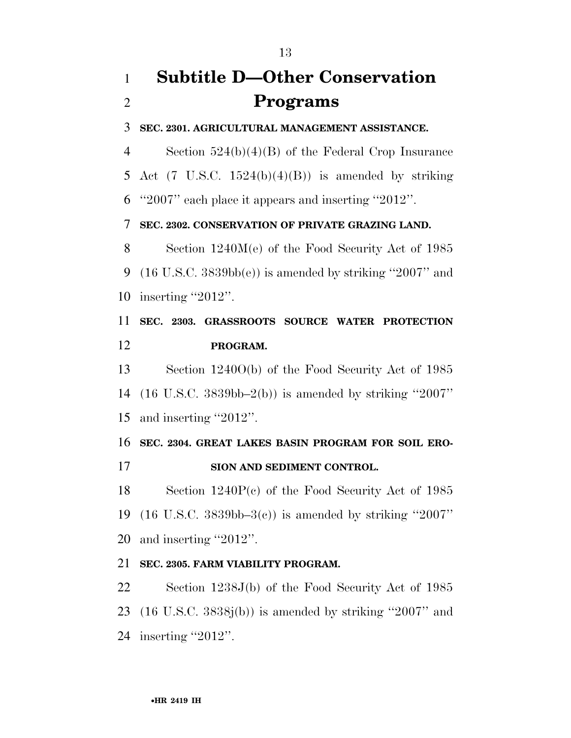## **Subtitle D—Other Conservation Programs**

**SEC. 2301. AGRICULTURAL MANAGEMENT ASSISTANCE.** 

 Section 524(b)(4)(B) of the Federal Crop Insurance 5 Act (7 U.S.C.  $1524(b)(4)(B)$ ) is amended by striking ''2007'' each place it appears and inserting ''2012''.

### **SEC. 2302. CONSERVATION OF PRIVATE GRAZING LAND.**

 Section 1240M(e) of the Food Security Act of 1985 9 (16 U.S.C.  $3839bb(e)$ ) is amended by striking "2007" and inserting ''2012''.

 **SEC. 2303. GRASSROOTS SOURCE WATER PROTECTION PROGRAM.** 

 Section 1240O(b) of the Food Security Act of 1985 (16 U.S.C. 3839bb–2(b)) is amended by striking ''2007'' and inserting ''2012''.

 **SEC. 2304. GREAT LAKES BASIN PROGRAM FOR SOIL ERO-SION AND SEDIMENT CONTROL.** 

 Section 1240P(c) of the Food Security Act of 1985 (16 U.S.C. 3839bb–3(c)) is amended by striking ''2007'' and inserting ''2012''.

### **SEC. 2305. FARM VIABILITY PROGRAM.**

 Section 1238J(b) of the Food Security Act of 1985 (16 U.S.C. 3838j(b)) is amended by striking ''2007'' and inserting ''2012''.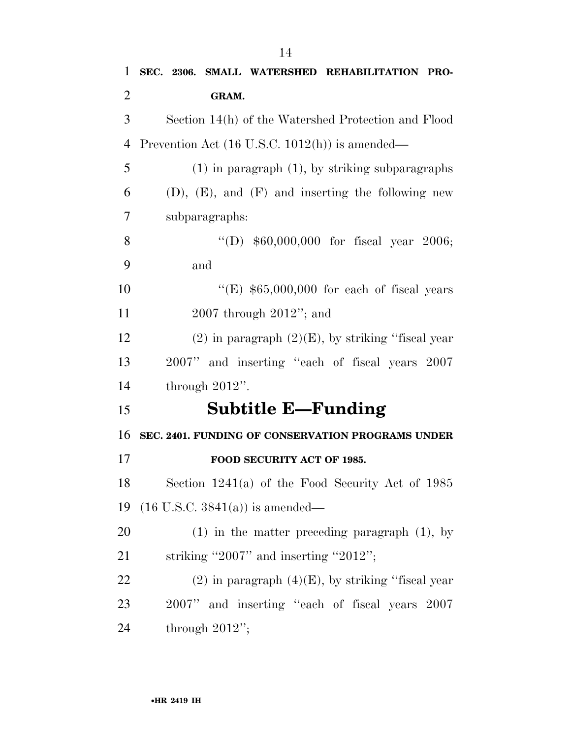| 1              | SEC. 2306. SMALL WATERSHED REHABILITATION PRO-            |
|----------------|-----------------------------------------------------------|
| $\overline{2}$ | GRAM.                                                     |
| 3              | Section 14(h) of the Watershed Protection and Flood       |
| $\overline{4}$ | Prevention Act $(16 \text{ U.S.C. } 1012(h))$ is amended— |
| 5              | $(1)$ in paragraph $(1)$ , by striking subparagraphs      |
| 6              | $(D)$ , $(E)$ , and $(F)$ and inserting the following new |
| 7              | subparagraphs:                                            |
| 8              | "(D) $$60,000,000$ for fiscal year 2006;                  |
| 9              | and                                                       |
| 10             | "(E) $$65,000,000$ for each of fiscal years               |
| 11             | $2007$ through $2012$ "; and                              |
| 12             | $(2)$ in paragraph $(2)(E)$ , by striking "fiscal year"   |
| 13             | 2007" and inserting "each of fiscal years 2007            |
| 14             | through $2012$ ".                                         |
| 15             | <b>Subtitle E—Funding</b>                                 |
| 16             | SEC. 2401. FUNDING OF CONSERVATION PROGRAMS UNDER         |
| 17             | FOOD SECURITY ACT OF 1985.                                |
| 18             | Section $1241(a)$ of the Food Security Act of 1985        |
| 19             | $(16 \text{ U.S.C. } 3841(a))$ is amended—                |
| 20             | $(1)$ in the matter preceding paragraph $(1)$ , by        |
| 21             | striking "2007" and inserting "2012";                     |
| 22             | $(2)$ in paragraph $(4)(E)$ , by striking "fiscal year"   |
| 23             | 2007" and inserting "each of fiscal years 2007            |
| 24             | through $2012$ ";                                         |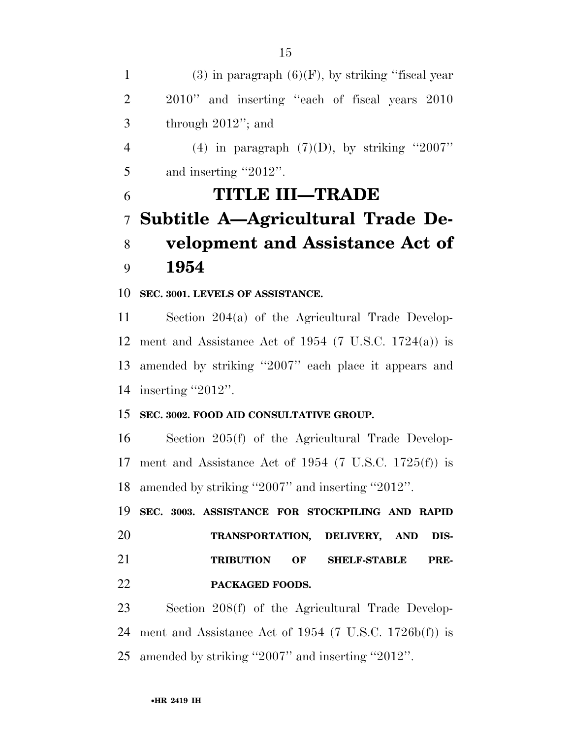1 (3) in paragraph  $(6)(F)$ , by striking "fiscal year 2010'' and inserting ''each of fiscal years 2010 through 2012''; and 4 (4) in paragraph  $(7)(D)$ , by striking "2007" 5 and inserting "2012". **TITLE III—TRADE Subtitle A—Agricultural Trade De- velopment and Assistance Act of 1954 SEC. 3001. LEVELS OF ASSISTANCE.**  Section 204(a) of the Agricultural Trade Develop-12 ment and Assistance Act of 1954 (7 U.S.C. 1724(a)) is amended by striking ''2007'' each place it appears and 14 inserting "2012". **SEC. 3002. FOOD AID CONSULTATIVE GROUP.**  Section 205(f) of the Agricultural Trade Develop- ment and Assistance Act of 1954 (7 U.S.C. 1725(f)) is amended by striking ''2007'' and inserting ''2012''. **SEC. 3003. ASSISTANCE FOR STOCKPILING AND RAPID TRANSPORTATION, DELIVERY, AND DIS-TRIBUTION OF SHELF-STABLE PRE-**

**PACKAGED FOODS.** 

 Section 208(f) of the Agricultural Trade Develop- ment and Assistance Act of 1954 (7 U.S.C. 1726b(f)) is amended by striking ''2007'' and inserting ''2012''.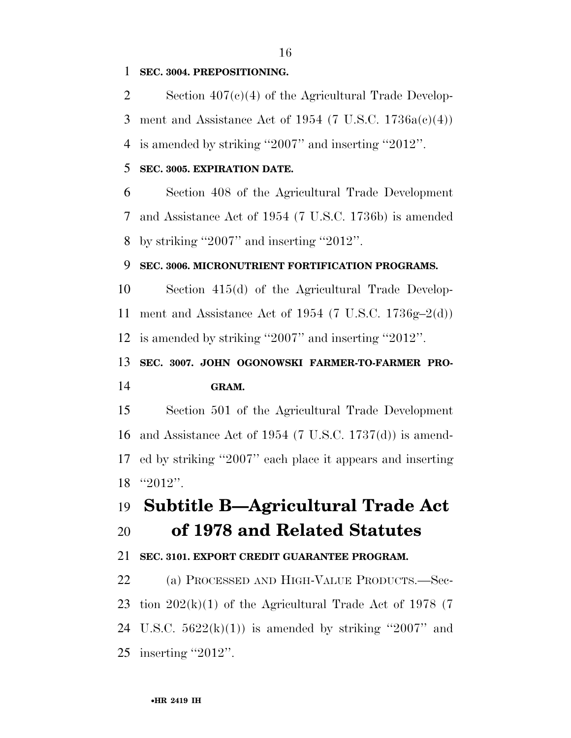### **SEC. 3004. PREPOSITIONING.**

 Section 407(c)(4) of the Agricultural Trade Develop-3 ment and Assistance Act of 1954 (7 U.S.C.  $1736a(c)(4)$ ) is amended by striking ''2007'' and inserting ''2012''.

### **SEC. 3005. EXPIRATION DATE.**

 Section 408 of the Agricultural Trade Development and Assistance Act of 1954 (7 U.S.C. 1736b) is amended by striking ''2007'' and inserting ''2012''.

### **SEC. 3006. MICRONUTRIENT FORTIFICATION PROGRAMS.**

 Section 415(d) of the Agricultural Trade Develop- ment and Assistance Act of 1954 (7 U.S.C. 1736g–2(d)) is amended by striking ''2007'' and inserting ''2012''.

**SEC. 3007. JOHN OGONOWSKI FARMER-TO-FARMER PRO-**

### **GRAM.**

 Section 501 of the Agricultural Trade Development and Assistance Act of 1954 (7 U.S.C. 1737(d)) is amend- ed by striking ''2007'' each place it appears and inserting ''2012''.

### **Subtitle B—Agricultural Trade Act of 1978 and Related Statutes**

### **SEC. 3101. EXPORT CREDIT GUARANTEE PROGRAM.**

 (a) PROCESSED AND HIGH-VALUE PRODUCTS.—Sec-23 tion  $202(k)(1)$  of the Agricultural Trade Act of 1978 (7) 24 U.S.C.  $5622(k)(1)$  is amended by striking "2007" and inserting ''2012''.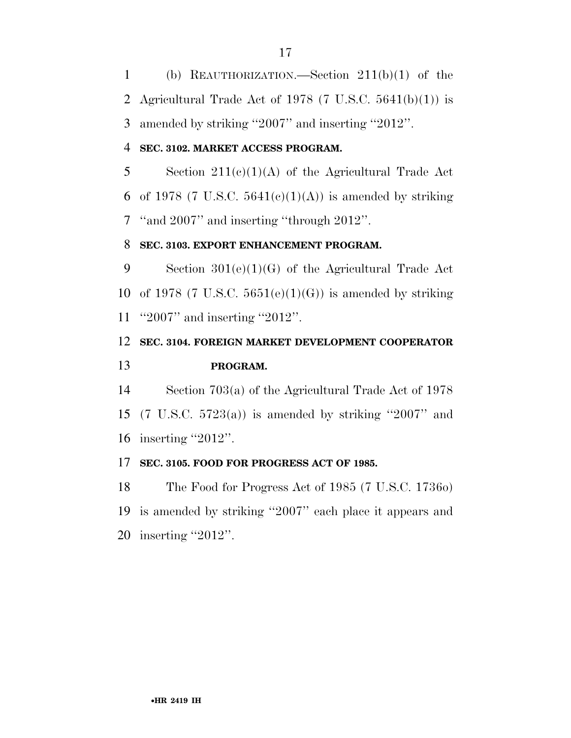(b) REAUTHORIZATION.—Section 211(b)(1) of the 2 Agricultural Trade Act of 1978  $(7 \text{ U.S.C. } 5641(b)(1))$  is amended by striking ''2007'' and inserting ''2012''.

### **SEC. 3102. MARKET ACCESS PROGRAM.**

 Section 211(c)(1)(A) of the Agricultural Trade Act 6 of 1978 (7 U.S.C.  $5641(e)(1)(A)$ ) is amended by striking ''and 2007'' and inserting ''through 2012''.

### **SEC. 3103. EXPORT ENHANCEMENT PROGRAM.**

 Section 301(e)(1)(G) of the Agricultural Trade Act 10 of 1978 (7 U.S.C.  $5651(e)(1)(G)$ ) is amended by striking ''2007'' and inserting ''2012''.

### **SEC. 3104. FOREIGN MARKET DEVELOPMENT COOPERATOR PROGRAM.**

 Section 703(a) of the Agricultural Trade Act of 1978 (7 U.S.C. 5723(a)) is amended by striking ''2007'' and inserting ''2012''.

### **SEC. 3105. FOOD FOR PROGRESS ACT OF 1985.**

 The Food for Progress Act of 1985 (7 U.S.C. 1736o) is amended by striking ''2007'' each place it appears and inserting ''2012''.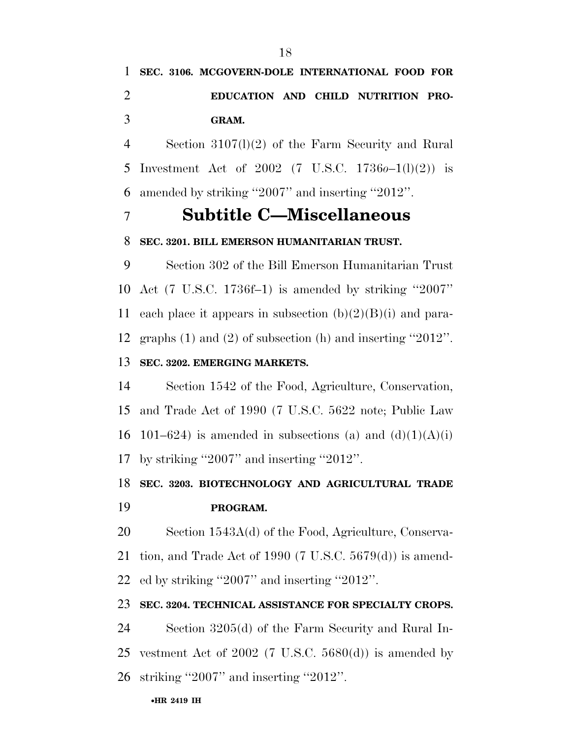## **SEC. 3106. MCGOVERN-DOLE INTERNATIONAL FOOD FOR EDUCATION AND CHILD NUTRITION PRO-GRAM.**

 Section 3107(l)(2) of the Farm Security and Rural Investment Act of 2002 (7 U.S.C. 1736*o*–1(l)(2)) is amended by striking ''2007'' and inserting ''2012''.

### **Subtitle C—Miscellaneous**

### **SEC. 3201. BILL EMERSON HUMANITARIAN TRUST.**

 Section 302 of the Bill Emerson Humanitarian Trust Act (7 U.S.C. 1736f–1) is amended by striking ''2007'' 11 each place it appears in subsection  $(b)(2)(B)(i)$  and para- graphs (1) and (2) of subsection (h) and inserting ''2012''. **SEC. 3202. EMERGING MARKETS.** 

## Section 1542 of the Food, Agriculture, Conservation, and Trade Act of 1990 (7 U.S.C. 5622 note; Public Law 16 101–624) is amended in subsections (a) and  $(d)(1)(A)(i)$ by striking ''2007'' and inserting ''2012''.

### **SEC. 3203. BIOTECHNOLOGY AND AGRICULTURAL TRADE**

### **PROGRAM.**

 Section 1543A(d) of the Food, Agriculture, Conserva- tion, and Trade Act of 1990 (7 U.S.C. 5679(d)) is amend-ed by striking ''2007'' and inserting ''2012''.

### **SEC. 3204. TECHNICAL ASSISTANCE FOR SPECIALTY CROPS.**

 Section 3205(d) of the Farm Security and Rural In-25 vestment Act of 2002 (7 U.S.C.  $5680(d)$ ) is amended by striking ''2007'' and inserting ''2012''.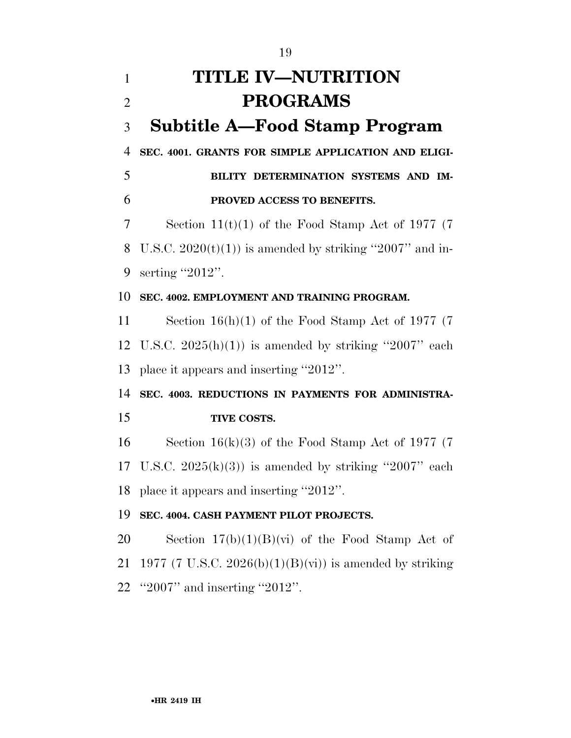## **TITLE IV—NUTRITION PROGRAMS Subtitle A—Food Stamp Program SEC. 4001. GRANTS FOR SIMPLE APPLICATION AND ELIGI- BILITY DETERMINATION SYSTEMS AND IM- PROVED ACCESS TO BENEFITS.**  Section 11(t)(1) of the Food Stamp Act of 1977 (7 8 U.S.C.  $2020(t)(1)$  is amended by striking "2007" and in- serting ''2012''. **SEC. 4002. EMPLOYMENT AND TRAINING PROGRAM.**  Section 16(h)(1) of the Food Stamp Act of 1977 (7 12 U.S.C.  $2025(h)(1)$  is amended by striking "2007" each place it appears and inserting ''2012''. **SEC. 4003. REDUCTIONS IN PAYMENTS FOR ADMINISTRA- TIVE COSTS.**  Section 16(k)(3) of the Food Stamp Act of 1977 (7 17 U.S.C.  $2025(k)(3)$  is amended by striking "2007" each place it appears and inserting ''2012''. **SEC. 4004. CASH PAYMENT PILOT PROJECTS.**  20 Section  $17(b)(1)(B)(vi)$  of the Food Stamp Act of 21 1977 (7 U.S.C. 2026(b)(1)(B)(vi)) is amended by striking ''2007'' and inserting ''2012''.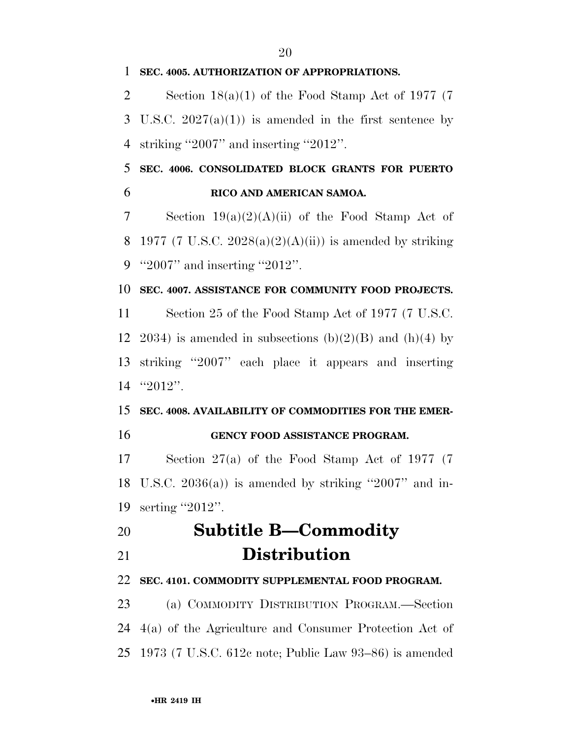Section 18(a)(1) of the Food Stamp Act of 1977 (7 3 U.S.C.  $2027(a)(1)$  is amended in the first sentence by striking ''2007'' and inserting ''2012''.

 **SEC. 4006. CONSOLIDATED BLOCK GRANTS FOR PUERTO RICO AND AMERICAN SAMOA.** 

7 Section  $19(a)(2)(A)(ii)$  of the Food Stamp Act of 8 1977 (7 U.S.C. 2028(a)(2)(A)(ii)) is amended by striking ''2007'' and inserting ''2012''.

### **SEC. 4007. ASSISTANCE FOR COMMUNITY FOOD PROJECTS.**

 Section 25 of the Food Stamp Act of 1977 (7 U.S.C. 12 2034) is amended in subsections  $(b)(2)(B)$  and  $(h)(4)$  by striking ''2007'' each place it appears and inserting ''2012''.

## **SEC. 4008. AVAILABILITY OF COMMODITIES FOR THE EMER-**

### **GENCY FOOD ASSISTANCE PROGRAM.**

 Section 27(a) of the Food Stamp Act of 1977 (7 18 U.S.C.  $2036(a)$  is amended by striking "2007" and in-serting ''2012''.

### **Subtitle B—Commodity Distribution**

### **SEC. 4101. COMMODITY SUPPLEMENTAL FOOD PROGRAM.**

 (a) COMMODITY DISTRIBUTION PROGRAM.—Section 4(a) of the Agriculture and Consumer Protection Act of 1973 (7 U.S.C. 612c note; Public Law 93–86) is amended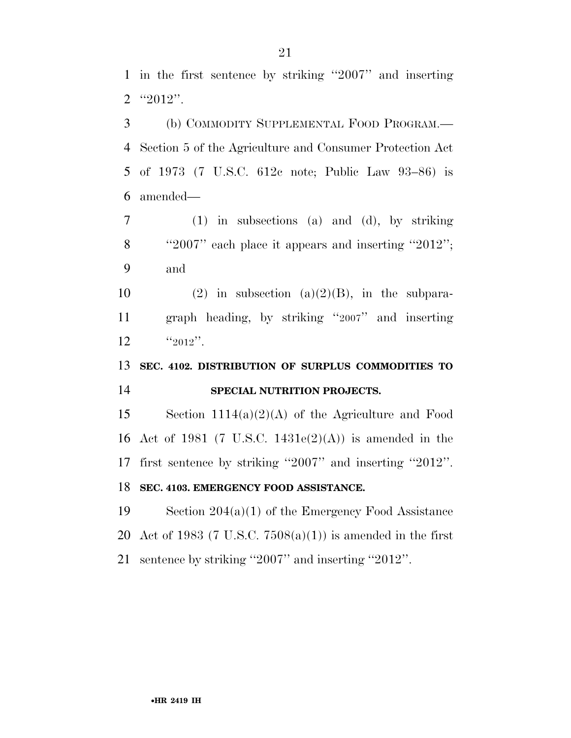(b) COMMODITY SUPPLEMENTAL FOOD PROGRAM.— Section 5 of the Agriculture and Consumer Protection Act of 1973 (7 U.S.C. 612c note; Public Law 93–86) is amended—

 (1) in subsections (a) and (d), by striking ''2007'' each place it appears and inserting ''2012''; and

10 (2) in subsection (a)(2)(B), in the subpara- graph heading, by striking ''2007'' and inserting  $12 \frac{12012}{},$ 

### **SEC. 4102. DISTRIBUTION OF SURPLUS COMMODITIES TO SPECIAL NUTRITION PROJECTS.**

 Section 1114(a)(2)(A) of the Agriculture and Food Act of 1981 (7 U.S.C. 1431e(2)(A)) is amended in the first sentence by striking ''2007'' and inserting ''2012''. **SEC. 4103. EMERGENCY FOOD ASSISTANCE.** 

 Section 204(a)(1) of the Emergency Food Assistance 20 Act of 1983 (7 U.S.C.  $7508(a)(1)$ ) is amended in the first sentence by striking ''2007'' and inserting ''2012''.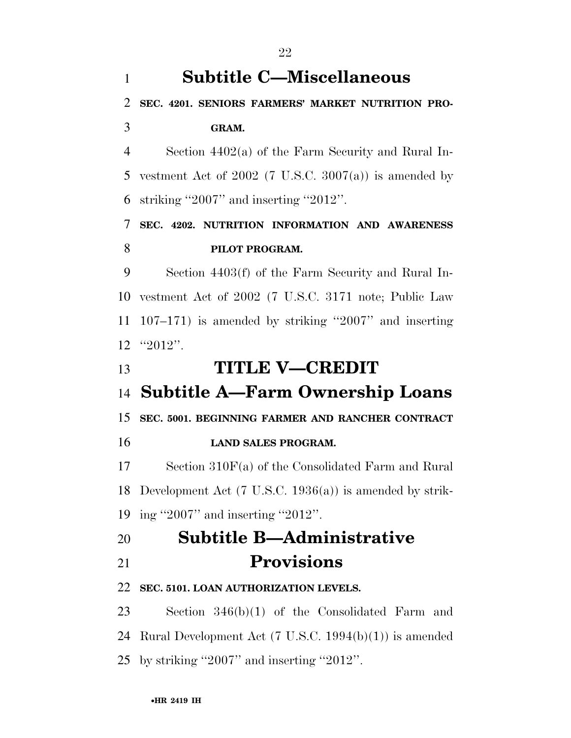## **Subtitle C—Miscellaneous**

### **SEC. 4201. SENIORS FARMERS' MARKET NUTRITION PRO-GRAM.**

 Section 4402(a) of the Farm Security and Rural In-5 vestment Act of (7 U.S.C.  $3007(a)$ ) is amended by striking ''2007'' and inserting ''2012''.

### **SEC. 4202. NUTRITION INFORMATION AND AWARENESS PILOT PROGRAM.**

 Section 4403(f) of the Farm Security and Rural In- vestment Act of 2002 (7 U.S.C. 3171 note; Public Law 107–171) is amended by striking ''2007'' and inserting  $12 \t$  "2012".

**TITLE V—CREDIT** 

## **Subtitle A—Farm Ownership Loans**

**SEC. 5001. BEGINNING FARMER AND RANCHER CONTRACT** 

**LAND SALES PROGRAM.** 

 Section 310F(a) of the Consolidated Farm and Rural Development Act (7 U.S.C. 1936(a)) is amended by strik-ing ''2007'' and inserting ''2012''.

## **Subtitle B—Administrative Provisions**

### **SEC. 5101. LOAN AUTHORIZATION LEVELS.**

 Section 346(b)(1) of the Consolidated Farm and Rural Development Act (7 U.S.C. 1994(b)(1)) is amended by striking ''2007'' and inserting ''2012''.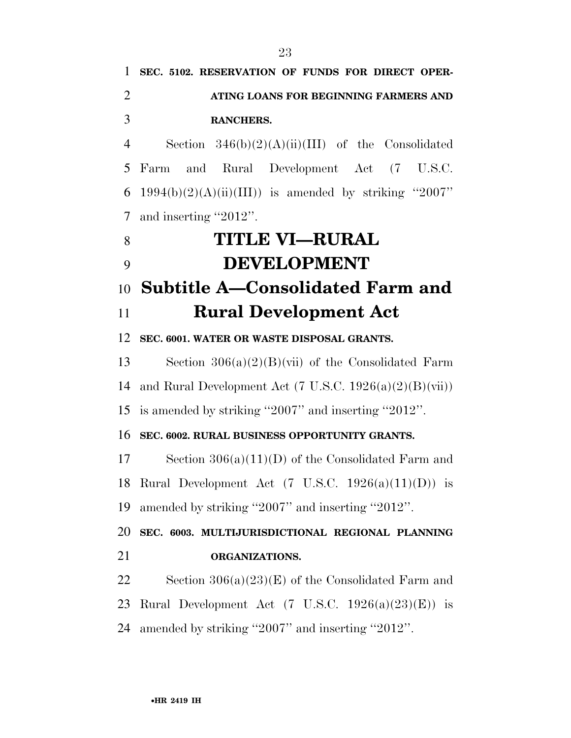**SEC. 5102. RESERVATION OF FUNDS FOR DIRECT OPER- ATING LOANS FOR BEGINNING FARMERS AND RANCHERS.**  Section 346(b)(2)(A)(ii)(III) of the Consolidated Farm and Rural Development Act (7 U.S.C. 6 1994(b)(2)(A)(ii)(III)) is amended by striking "2007" and inserting ''2012''. **TITLE VI—RURAL DEVELOPMENT Subtitle A—Consolidated Farm and Rural Development Act SEC. 6001. WATER OR WASTE DISPOSAL GRANTS.**  Section 306(a)(2)(B)(vii) of the Consolidated Farm 14 and Rural Development Act  $(7 \text{ U.S.C. } 1926(a)(2)(B)(vii))$  is amended by striking ''2007'' and inserting ''2012''. **SEC. 6002. RURAL BUSINESS OPPORTUNITY GRANTS.**  Section 306(a)(11)(D) of the Consolidated Farm and 18 Rural Development Act  $(7 \text{ U.S.C. } 1926(a)(11)(D))$  is amended by striking ''2007'' and inserting ''2012''. **SEC. 6003. MULTIJURISDICTIONAL REGIONAL PLANNING ORGANIZATIONS.**  22 Section  $306(a)(23)(E)$  of the Consolidated Farm and 23 Rural Development Act  $(7 \text{ U.S.C. } 1926(a)(23)(E))$  is amended by striking ''2007'' and inserting ''2012''.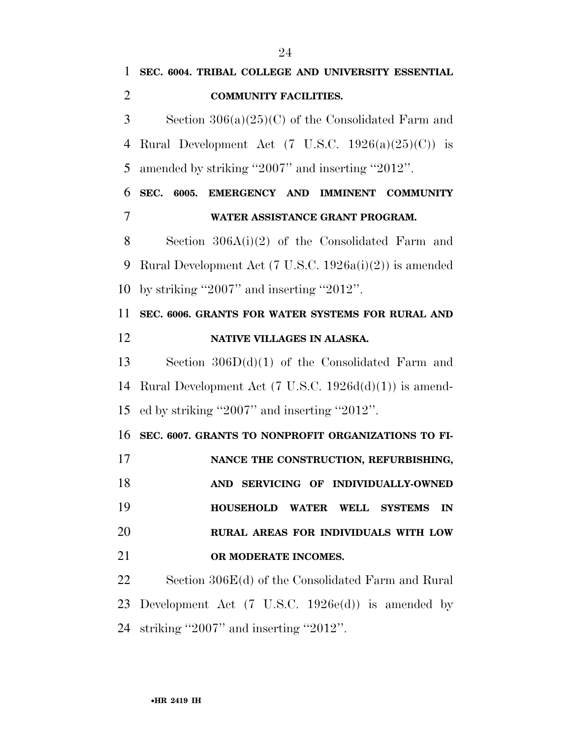**SEC. 6004. TRIBAL COLLEGE AND UNIVERSITY ESSENTIAL COMMUNITY FACILITIES.**  Section 306(a)(25)(C) of the Consolidated Farm and 4 Rural Development Act  $(7 \text{ U.S.C. } 1926(a)(25)(C))$  is amended by striking ''2007'' and inserting ''2012''. **SEC. 6005. EMERGENCY AND IMMINENT COMMUNITY WATER ASSISTANCE GRANT PROGRAM.**  Section 306A(i)(2) of the Consolidated Farm and Rural Development Act (7 U.S.C. 1926a(i)(2)) is amended by striking ''2007'' and inserting ''2012''. **SEC. 6006. GRANTS FOR WATER SYSTEMS FOR RURAL AND NATIVE VILLAGES IN ALASKA.**  Section 306D(d)(1) of the Consolidated Farm and Rural Development Act (7 U.S.C. 1926d(d)(1)) is amend- ed by striking ''2007'' and inserting ''2012''. **SEC. 6007. GRANTS TO NONPROFIT ORGANIZATIONS TO FI- NANCE THE CONSTRUCTION, REFURBISHING, AND SERVICING OF INDIVIDUALLY-OWNED HOUSEHOLD WATER WELL SYSTEMS IN RURAL AREAS FOR INDIVIDUALS WITH LOW OR MODERATE INCOMES.**  Section 306E(d) of the Consolidated Farm and Rural Development Act (7 U.S.C. 1926e(d)) is amended by

striking ''2007'' and inserting ''2012''.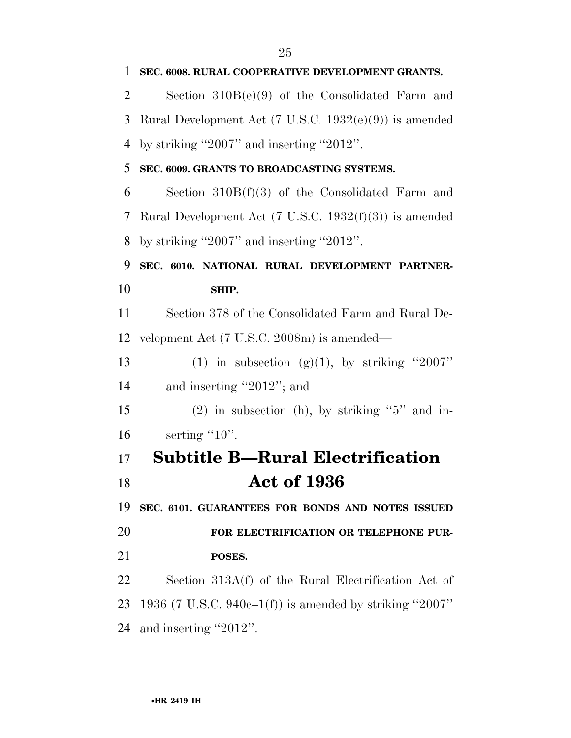| $\mathbf{1}$ | SEC. 6008. RURAL COOPERATIVE DEVELOPMENT GRANTS.                  |
|--------------|-------------------------------------------------------------------|
| 2            | Section $310B(e)(9)$ of the Consolidated Farm and                 |
| 3            | Rural Development Act $(7 \text{ U.S.C. } 1932(e)(9))$ is amended |
| 4            | by striking "2007" and inserting "2012".                          |
| 5            | SEC. 6009. GRANTS TO BROADCASTING SYSTEMS.                        |
| 6            | Section $310B(f)(3)$ of the Consolidated Farm and                 |
| 7            | Rural Development Act $(7 \text{ U.S.C. } 1932(f)(3))$ is amended |
| 8            | by striking "2007" and inserting "2012".                          |
| 9            | SEC. 6010. NATIONAL RURAL DEVELOPMENT PARTNER-                    |
| 10           | SHIP.                                                             |
| 11           | Section 378 of the Consolidated Farm and Rural De-                |
| 12           | velopment Act (7 U.S.C. 2008m) is amended—                        |
| 13           | (1) in subsection (g)(1), by striking "2007"                      |
| 14           | and inserting "2012"; and                                         |
| 15           | $(2)$ in subsection (h), by striking "5" and in-                  |
| 16           | serting $"10"$ .                                                  |
| 17           | <b>Subtitle B—Rural Electrification</b>                           |
| 18           | <b>Act of 1936</b>                                                |
| 19           | SEC. 6101. GUARANTEES FOR BONDS AND NOTES ISSUED                  |
| 20           | FOR ELECTRIFICATION OR TELEPHONE PUR-                             |
| 21           | POSES.                                                            |
| 22           | Section 313A(f) of the Rural Electrification Act of               |
| 23           | 1936 (7 U.S.C. 940e–1(f)) is amended by striking "2007"           |
| 24           | and inserting "2012".                                             |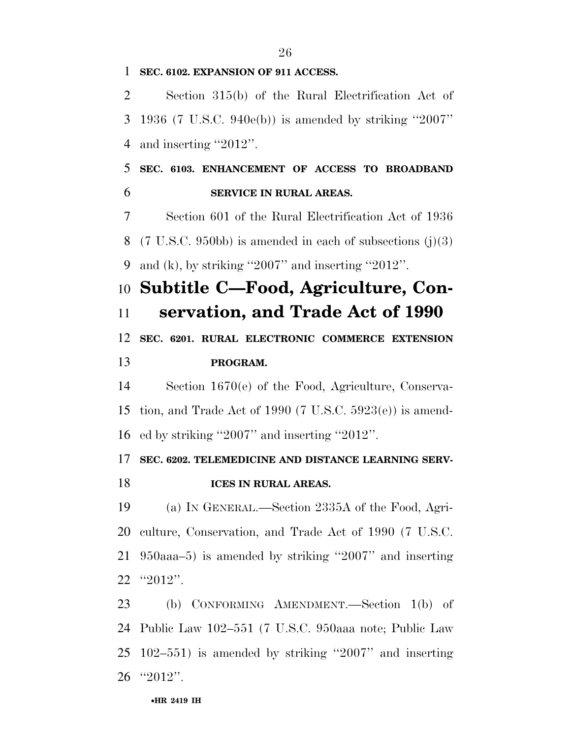### **SEC. 6102. EXPANSION OF 911 ACCESS.**

 Section 315(b) of the Rural Electrification Act of 1936 (7 U.S.C. 940e(b)) is amended by striking ''2007'' and inserting ''2012''.

 **SEC. 6103. ENHANCEMENT OF ACCESS TO BROADBAND SERVICE IN RURAL AREAS.** 

 Section 601 of the Rural Electrification Act of 1936 (7 U.S.C. 950bb) is amended in each of subsections (j)(3) 9 and (k), by striking  $"2007"$  and inserting  $"2012"$ .

## **Subtitle C—Food, Agriculture, Con-**

**servation, and Trade Act of 1990** 

 **SEC. 6201. RURAL ELECTRONIC COMMERCE EXTENSION PROGRAM.** 

 Section 1670(e) of the Food, Agriculture, Conserva- tion, and Trade Act of 1990 (7 U.S.C. 5923(e)) is amend-ed by striking ''2007'' and inserting ''2012''.

### **SEC. 6202. TELEMEDICINE AND DISTANCE LEARNING SERV-ICES IN RURAL AREAS.**

 (a) IN GENERAL.—Section 2335A of the Food, Agri- culture, Conservation, and Trade Act of 1990 (7 U.S.C. 950aaa–5) is amended by striking ''2007'' and inserting ''2012''.

 (b) CONFORMING AMENDMENT.—Section 1(b) of Public Law 102–551 (7 U.S.C. 950aaa note; Public Law 102–551) is amended by striking ''2007'' and inserting ''2012''.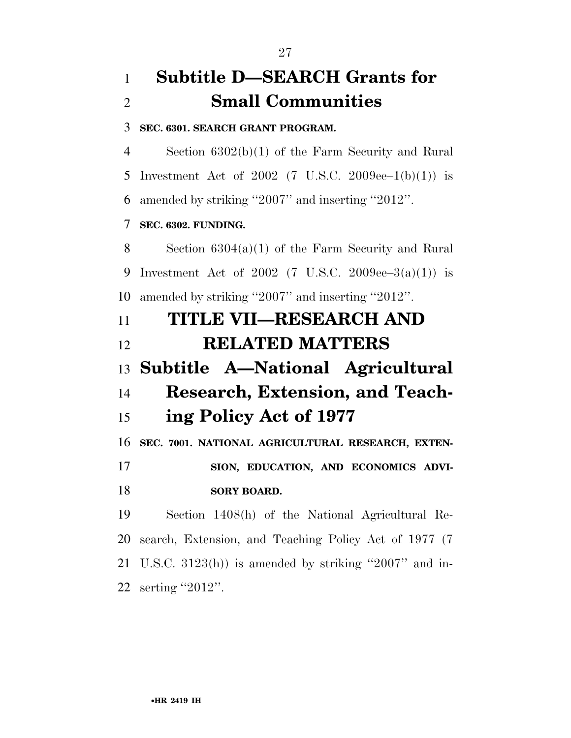## **Subtitle D—SEARCH Grants for Small Communities**

**SEC. 6301. SEARCH GRANT PROGRAM.** 

 Section 6302(b)(1) of the Farm Security and Rural 5 Investment Act of (7 U.S.C.  $2009ee-1(b)(1)$ ) is amended by striking ''2007'' and inserting ''2012''.

### **SEC. 6302. FUNDING.**

 Section 6304(a)(1) of the Farm Security and Rural Investment Act of 2002 (7 U.S.C. 2009ee–3(a)(1)) is amended by striking ''2007'' and inserting ''2012''.

## **TITLE VII—RESEARCH AND RELATED MATTERS Subtitle A—National Agricultural Research, Extension, and Teach-ing Policy Act of 1977**

**SEC. 7001. NATIONAL AGRICULTURAL RESEARCH, EXTEN-**

 **SION, EDUCATION, AND ECONOMICS ADVI-SORY BOARD.** 

 Section 1408(h) of the National Agricultural Re- search, Extension, and Teaching Policy Act of 1977 (7 U.S.C. 3123(h)) is amended by striking ''2007'' and in-serting ''2012''.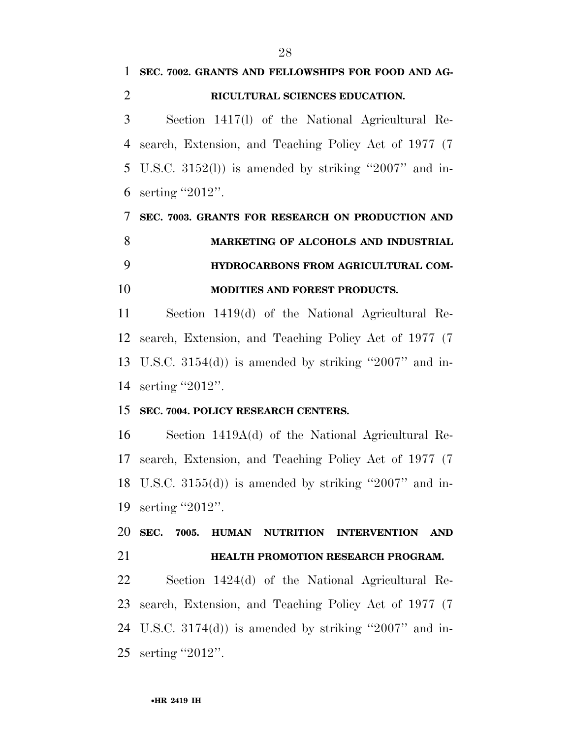**SEC. 7002. GRANTS AND FELLOWSHIPS FOR FOOD AND AG-**

Section 1417(l) of the National Agricultural Re-

**RICULTURAL SCIENCES EDUCATION.** 

# •**HR 2419 IH** search, Extension, and Teaching Policy Act of 1977 (7 U.S.C. 3152(l)) is amended by striking ''2007'' and in- serting ''2012''. **SEC. 7003. GRANTS FOR RESEARCH ON PRODUCTION AND MARKETING OF ALCOHOLS AND INDUSTRIAL HYDROCARBONS FROM AGRICULTURAL COM- MODITIES AND FOREST PRODUCTS.**  Section 1419(d) of the National Agricultural Re- search, Extension, and Teaching Policy Act of 1977 (7 U.S.C. 3154(d)) is amended by striking ''2007'' and in- serting ''2012''. **SEC. 7004. POLICY RESEARCH CENTERS.**  Section 1419A(d) of the National Agricultural Re- search, Extension, and Teaching Policy Act of 1977 (7 U.S.C. 3155(d)) is amended by striking ''2007'' and in- serting ''2012''. **SEC. 7005. HUMAN NUTRITION INTERVENTION AND HEALTH PROMOTION RESEARCH PROGRAM.**  Section 1424(d) of the National Agricultural Re- search, Extension, and Teaching Policy Act of 1977 (7 U.S.C. 3174(d)) is amended by striking ''2007'' and in-serting ''2012''.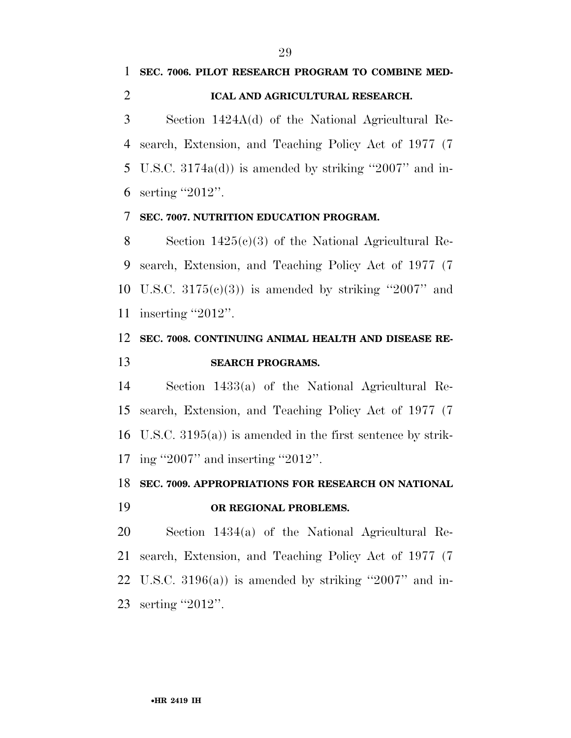### **SEC. 7006. PILOT RESEARCH PROGRAM TO COMBINE MED-ICAL AND AGRICULTURAL RESEARCH.**

 Section 1424A(d) of the National Agricultural Re- search, Extension, and Teaching Policy Act of 1977 (7 U.S.C. 3174a(d)) is amended by striking ''2007'' and in-serting ''2012''.

### **SEC. 7007. NUTRITION EDUCATION PROGRAM.**

 Section 1425(c)(3) of the National Agricultural Re- search, Extension, and Teaching Policy Act of 1977 (7 10 U.S.C.  $3175(e)(3)$  is amended by striking "2007" and 11 inserting "2012".

### **SEC. 7008. CONTINUING ANIMAL HEALTH AND DISEASE RE-SEARCH PROGRAMS.**

 Section 1433(a) of the National Agricultural Re- search, Extension, and Teaching Policy Act of 1977 (7 U.S.C. 3195(a)) is amended in the first sentence by strik-ing ''2007'' and inserting ''2012''.

### **SEC. 7009. APPROPRIATIONS FOR RESEARCH ON NATIONAL**

### **OR REGIONAL PROBLEMS.**

 Section 1434(a) of the National Agricultural Re- search, Extension, and Teaching Policy Act of 1977 (7 22 U.S.C.  $3196(a)$  is amended by striking "2007" and in-23 serting "2012".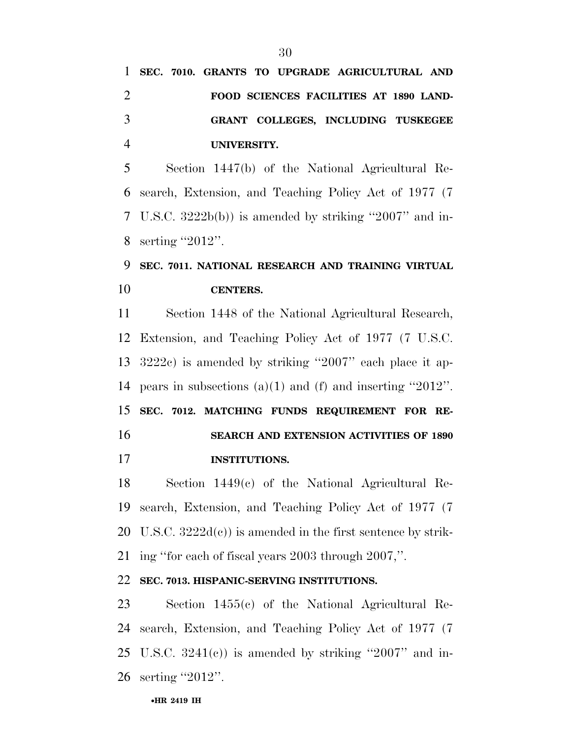**UNIVERSITY.** 

 Section 1447(b) of the National Agricultural Re- search, Extension, and Teaching Policy Act of 1977 (7 U.S.C. 3222b(b)) is amended by striking ''2007'' and in-8 serting "2012".

### **SEC. 7011. NATIONAL RESEARCH AND TRAINING VIRTUAL CENTERS.**

 Section 1448 of the National Agricultural Research, Extension, and Teaching Policy Act of 1977 (7 U.S.C. 3222c) is amended by striking ''2007'' each place it ap- pears in subsections (a)(1) and (f) and inserting ''2012''. **SEC. 7012. MATCHING FUNDS REQUIREMENT FOR RE- SEARCH AND EXTENSION ACTIVITIES OF 1890 INSTITUTIONS.** 

 Section 1449(c) of the National Agricultural Re- search, Extension, and Teaching Policy Act of 1977 (7 20 U.S.C.  $3222d(c)$  is amended in the first sentence by strik-ing ''for each of fiscal years 2003 through 2007,''.

### **SEC. 7013. HISPANIC-SERVING INSTITUTIONS.**

 Section 1455(c) of the National Agricultural Re- search, Extension, and Teaching Policy Act of 1977 (7 25 U.S.C.  $3241(e)$  is amended by striking "2007" and in-26 serting "2012".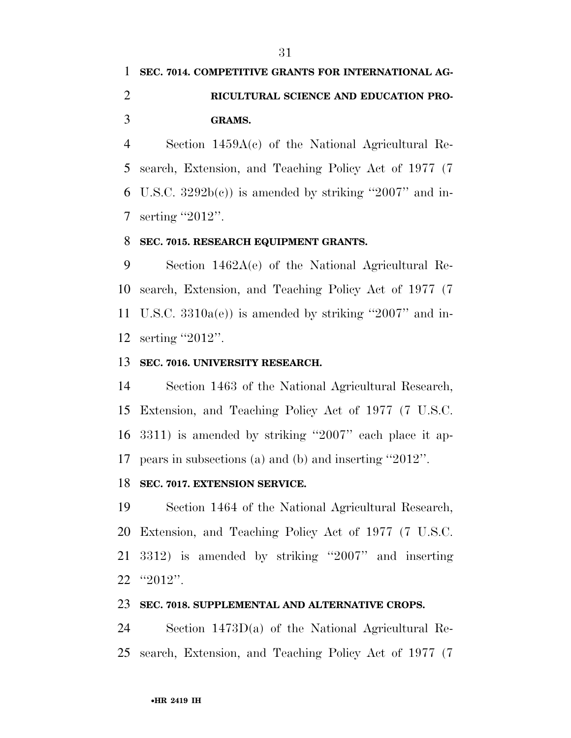**GRAMS.** 

 Section 1459A(c) of the National Agricultural Re- search, Extension, and Teaching Policy Act of 1977 (7 6 U.S.C.  $3292b(c)$  is amended by striking "2007" and in-7 serting "2012".

### **SEC. 7015. RESEARCH EQUIPMENT GRANTS.**

 Section 1462A(e) of the National Agricultural Re- search, Extension, and Teaching Policy Act of 1977 (7 U.S.C. 3310a(e)) is amended by striking ''2007'' and in-serting ''2012''.

### **SEC. 7016. UNIVERSITY RESEARCH.**

 Section 1463 of the National Agricultural Research, Extension, and Teaching Policy Act of 1977 (7 U.S.C. 3311) is amended by striking ''2007'' each place it ap-pears in subsections (a) and (b) and inserting ''2012''.

### **SEC. 7017. EXTENSION SERVICE.**

 Section 1464 of the National Agricultural Research, Extension, and Teaching Policy Act of 1977 (7 U.S.C. 3312) is amended by striking ''2007'' and inserting ''2012''.

### **SEC. 7018. SUPPLEMENTAL AND ALTERNATIVE CROPS.**

 Section 1473D(a) of the National Agricultural Re-search, Extension, and Teaching Policy Act of 1977 (7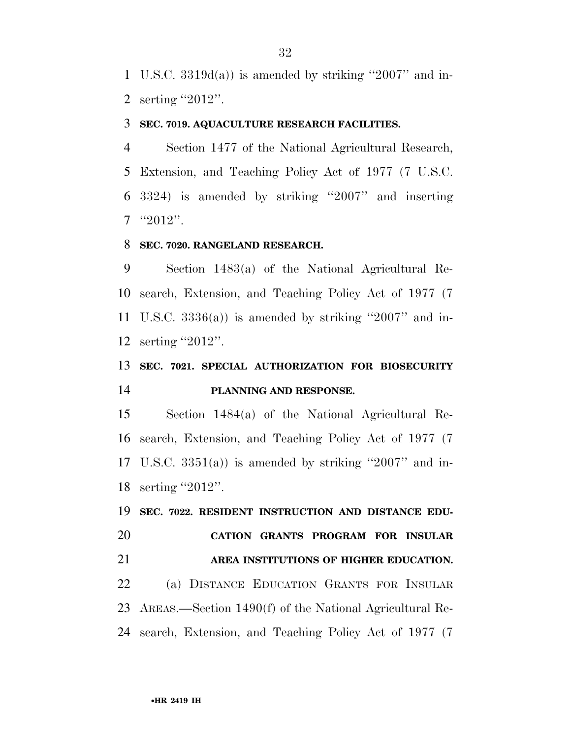U.S.C. 3319d(a)) is amended by striking ''2007'' and in-serting ''2012''.

#### **SEC. 7019. AQUACULTURE RESEARCH FACILITIES.**

 Section 1477 of the National Agricultural Research, Extension, and Teaching Policy Act of 1977 (7 U.S.C. 3324) is amended by striking ''2007'' and inserting "2012".

#### **SEC. 7020. RANGELAND RESEARCH.**

 Section 1483(a) of the National Agricultural Re- search, Extension, and Teaching Policy Act of 1977 (7 U.S.C. 3336(a)) is amended by striking ''2007'' and in-serting ''2012''.

### **SEC. 7021. SPECIAL AUTHORIZATION FOR BIOSECURITY PLANNING AND RESPONSE.**

 Section 1484(a) of the National Agricultural Re- search, Extension, and Teaching Policy Act of 1977 (7 17 U.S.C.  $3351(a)$  is amended by striking "2007" and in-18 serting "2012".

 **SEC. 7022. RESIDENT INSTRUCTION AND DISTANCE EDU- CATION GRANTS PROGRAM FOR INSULAR AREA INSTITUTIONS OF HIGHER EDUCATION.**  (a) DISTANCE EDUCATION GRANTS FOR INSULAR AREAS.—Section 1490(f) of the National Agricultural Re-search, Extension, and Teaching Policy Act of 1977 (7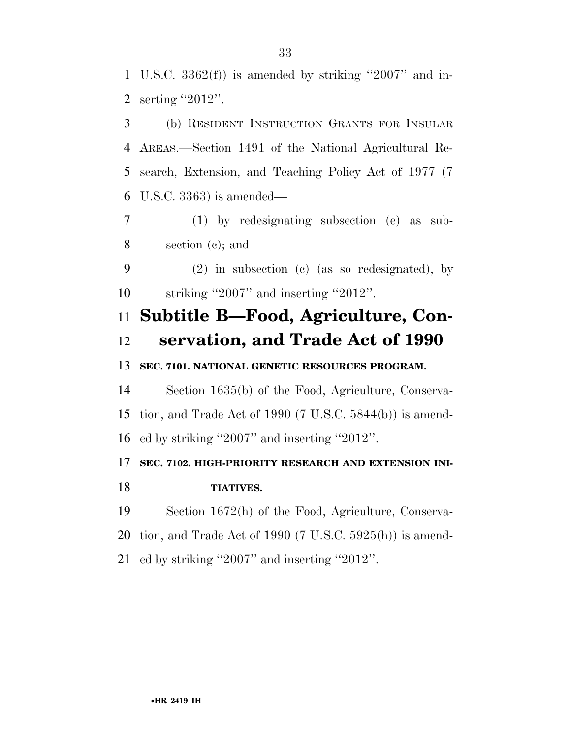U.S.C. 3362(f)) is amended by striking ''2007'' and in-serting ''2012''.

 (b) RESIDENT INSTRUCTION GRANTS FOR INSULAR AREAS.—Section 1491 of the National Agricultural Re- search, Extension, and Teaching Policy Act of 1977 (7 U.S.C. 3363) is amended—

 (1) by redesignating subsection (e) as sub-section (c); and

 (2) in subsection (c) (as so redesignated), by striking ''2007'' and inserting ''2012''.

## **Subtitle B—Food, Agriculture, Con-servation, and Trade Act of 1990**

**SEC. 7101. NATIONAL GENETIC RESOURCES PROGRAM.** 

 Section 1635(b) of the Food, Agriculture, Conserva- tion, and Trade Act of 1990 (7 U.S.C. 5844(b)) is amend-ed by striking ''2007'' and inserting ''2012''.

### **SEC. 7102. HIGH-PRIORITY RESEARCH AND EXTENSION INI-TIATIVES.**

 Section 1672(h) of the Food, Agriculture, Conserva- tion, and Trade Act of 1990 (7 U.S.C. 5925(h)) is amend-ed by striking ''2007'' and inserting ''2012''.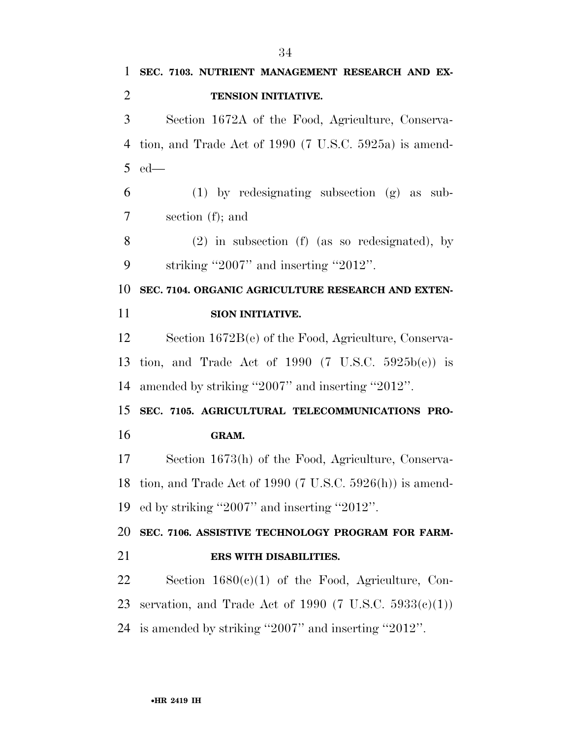**SEC. 7103. NUTRIENT MANAGEMENT RESEARCH AND EX- TENSION INITIATIVE.**  Section 1672A of the Food, Agriculture, Conserva- tion, and Trade Act of 1990 (7 U.S.C. 5925a) is amend- ed— (1) by redesignating subsection (g) as sub- section (f); and (2) in subsection (f) (as so redesignated), by striking ''2007'' and inserting ''2012''. **SEC. 7104. ORGANIC AGRICULTURE RESEARCH AND EXTEN- SION INITIATIVE.**  Section 1672B(e) of the Food, Agriculture, Conserva- tion, and Trade Act of 1990 (7 U.S.C. 5925b(e)) is amended by striking ''2007'' and inserting ''2012''. **SEC. 7105. AGRICULTURAL TELECOMMUNICATIONS PRO- GRAM.**  Section 1673(h) of the Food, Agriculture, Conserva- tion, and Trade Act of 1990 (7 U.S.C. 5926(h)) is amend- ed by striking ''2007'' and inserting ''2012''. **SEC. 7106. ASSISTIVE TECHNOLOGY PROGRAM FOR FARM- ERS WITH DISABILITIES.**  Section 1680(c)(1) of the Food, Agriculture, Con-23 servation, and Trade Act of 1990 (7 U.S.C.  $5933(e)(1)$ ) is amended by striking ''2007'' and inserting ''2012''.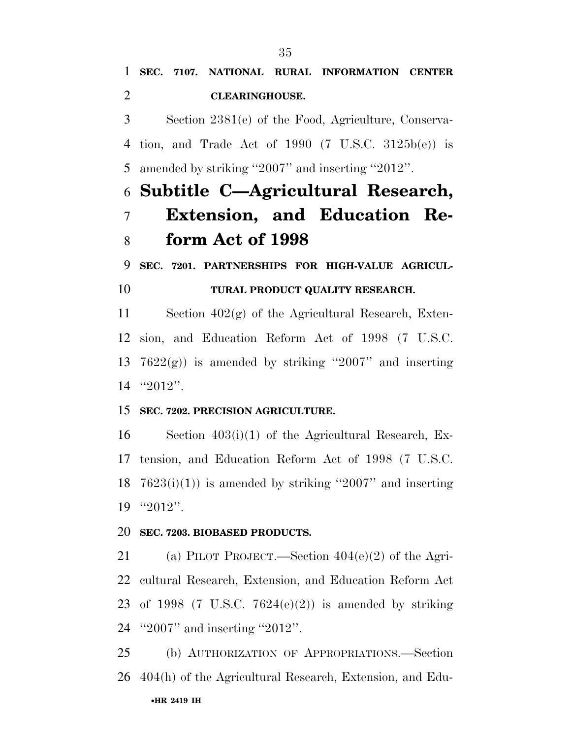Section 2381(e) of the Food, Agriculture, Conserva- tion, and Trade Act of 1990 (7 U.S.C. 3125b(e)) is amended by striking ''2007'' and inserting ''2012''.

## **Subtitle C—Agricultural Research, Extension, and Education Re-form Act of 1998**

**SEC. 7201. PARTNERSHIPS FOR HIGH-VALUE AGRICUL-**

### **TURAL PRODUCT QUALITY RESEARCH.**

 Section 402(g) of the Agricultural Research, Exten- sion, and Education Reform Act of 1998 (7 U.S.C. 13 7622 $(g)$ ) is amended by striking "2007" and inserting ''2012''.

### **SEC. 7202. PRECISION AGRICULTURE.**

 Section 403(i)(1) of the Agricultural Research, Ex- tension, and Education Reform Act of 1998 (7 U.S.C.  $7623(i)(1)$  is amended by striking "2007" and inserting ''2012''.

### **SEC. 7203. BIOBASED PRODUCTS.**

 (a) PILOT PROJECT.—Section 404(e)(2) of the Agri- cultural Research, Extension, and Education Reform Act 23 of 1998 (7 U.S.C.  $7624(e)(2)$ ) is amended by striking ''2007'' and inserting ''2012''.

•**HR 2419 IH** (b) AUTHORIZATION OF APPROPRIATIONS.—Section 404(h) of the Agricultural Research, Extension, and Edu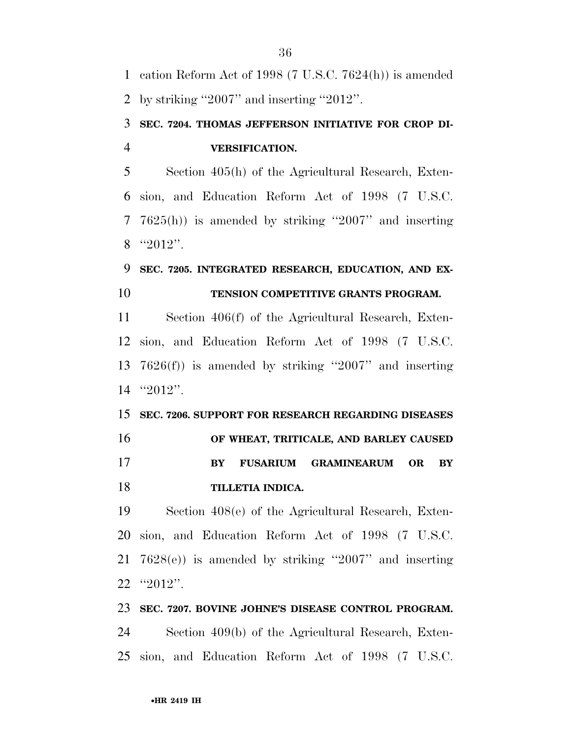cation Reform Act of 1998 (7 U.S.C. 7624(h)) is amended by striking ''2007'' and inserting ''2012''.

### **SEC. 7204. THOMAS JEFFERSON INITIATIVE FOR CROP DI-VERSIFICATION.**

 Section 405(h) of the Agricultural Research, Exten- sion, and Education Reform Act of 1998 (7 U.S.C. 7625(h)) is amended by striking ''2007'' and inserting "2012".

### **SEC. 7205. INTEGRATED RESEARCH, EDUCATION, AND EX-TENSION COMPETITIVE GRANTS PROGRAM.**

 Section 406(f) of the Agricultural Research, Exten- sion, and Education Reform Act of 1998 (7 U.S.C. 7626(f)) is amended by striking ''2007'' and inserting ''2012''.

 **SEC. 7206. SUPPORT FOR RESEARCH REGARDING DISEASES OF WHEAT, TRITICALE, AND BARLEY CAUSED BY FUSARIUM GRAMINEARUM OR BY TILLETIA INDICA.** 

 Section 408(e) of the Agricultural Research, Exten- sion, and Education Reform Act of 1998 (7 U.S.C. 7628(e)) is amended by striking ''2007'' and inserting ''2012''.

#### **SEC. 7207. BOVINE JOHNE'S DISEASE CONTROL PROGRAM.**

 Section 409(b) of the Agricultural Research, Exten-sion, and Education Reform Act of 1998 (7 U.S.C.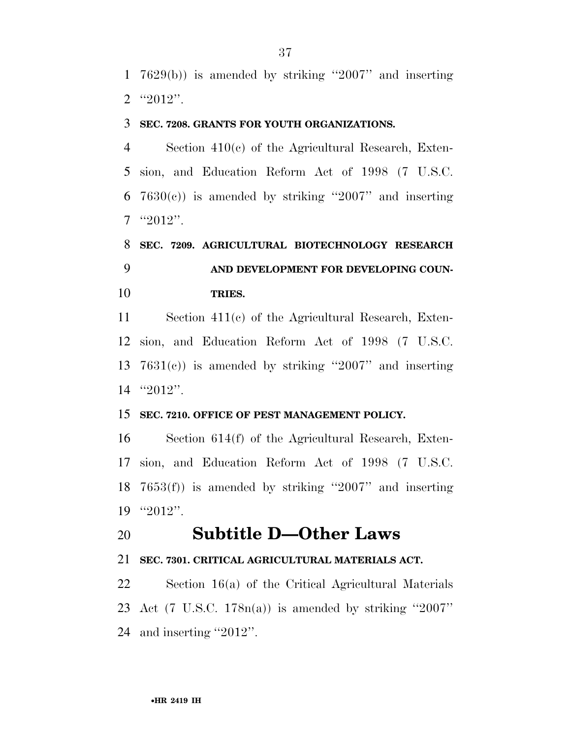7629(b)) is amended by striking ''2007'' and inserting  $2 \text{``} 2012$ ".

#### **SEC. 7208. GRANTS FOR YOUTH ORGANIZATIONS.**

 Section 410(c) of the Agricultural Research, Exten- sion, and Education Reform Act of 1998 (7 U.S.C.  $7630(c)$  is amended by striking "2007" and inserting "2012".

## **SEC. 7209. AGRICULTURAL BIOTECHNOLOGY RESEARCH AND DEVELOPMENT FOR DEVELOPING COUN-TRIES.**

 Section 411(c) of the Agricultural Research, Exten- sion, and Education Reform Act of 1998 (7 U.S.C. 7631(c)) is amended by striking ''2007'' and inserting ''2012''.

### **SEC. 7210. OFFICE OF PEST MANAGEMENT POLICY.**

 Section 614(f) of the Agricultural Research, Exten- sion, and Education Reform Act of 1998 (7 U.S.C. 7653(f)) is amended by striking ''2007'' and inserting ''2012''.

### **Subtitle D—Other Laws**

### **SEC. 7301. CRITICAL AGRICULTURAL MATERIALS ACT.**

 Section 16(a) of the Critical Agricultural Materials Act (7 U.S.C. 178n(a)) is amended by striking ''2007'' and inserting ''2012''.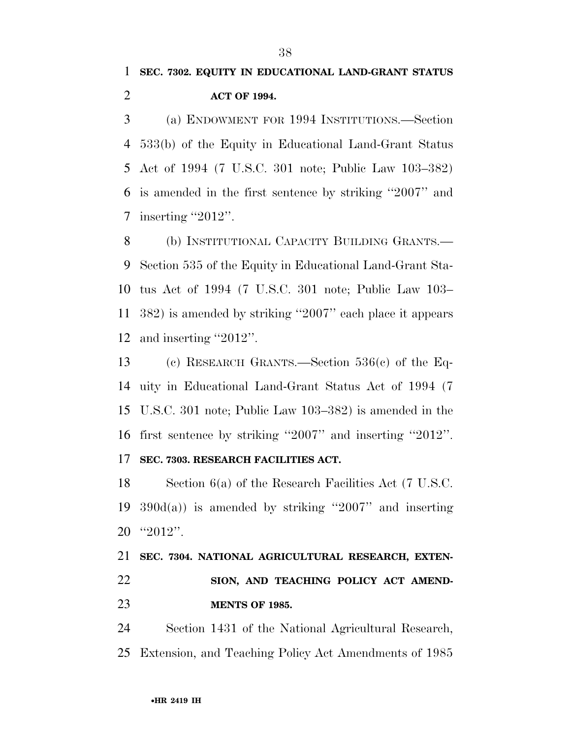(a) ENDOWMENT FOR 1994 INSTITUTIONS.—Section 533(b) of the Equity in Educational Land-Grant Status Act of 1994 (7 U.S.C. 301 note; Public Law 103–382) is amended in the first sentence by striking ''2007'' and inserting ''2012''.

 (b) INSTITUTIONAL CAPACITY BUILDING GRANTS.— Section 535 of the Equity in Educational Land-Grant Sta- tus Act of 1994 (7 U.S.C. 301 note; Public Law 103– 382) is amended by striking ''2007'' each place it appears and inserting ''2012''.

 (c) RESEARCH GRANTS.—Section 536(c) of the Eq- uity in Educational Land-Grant Status Act of 1994 (7 U.S.C. 301 note; Public Law 103–382) is amended in the first sentence by striking ''2007'' and inserting ''2012''.

### **SEC. 7303. RESEARCH FACILITIES ACT.**

 Section 6(a) of the Research Facilities Act (7 U.S.C. 19  $390d(a)$  is amended by striking "2007" and inserting ''2012''.

## **SEC. 7304. NATIONAL AGRICULTURAL RESEARCH, EXTEN- SION, AND TEACHING POLICY ACT AMEND-MENTS OF 1985.**

 Section 1431 of the National Agricultural Research, Extension, and Teaching Policy Act Amendments of 1985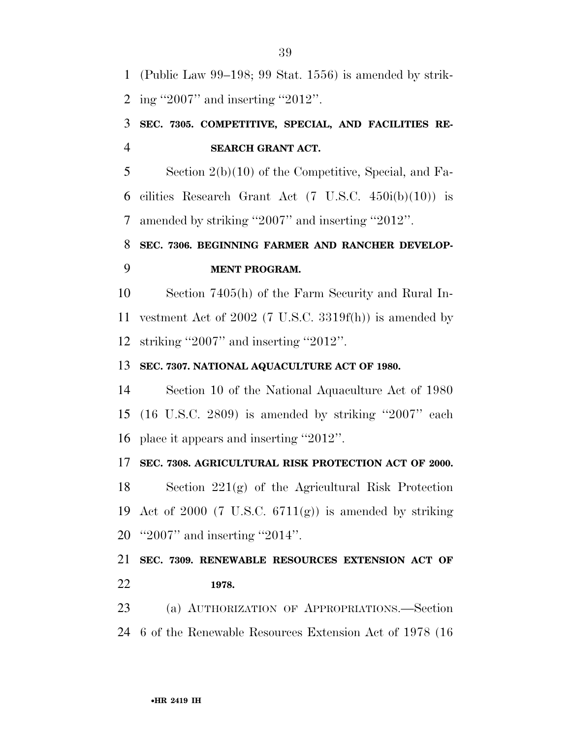(Public Law 99–198; 99 Stat. 1556) is amended by strik-ing ''2007'' and inserting ''2012''.

### **SEC. 7305. COMPETITIVE, SPECIAL, AND FACILITIES RE-SEARCH GRANT ACT.**

 Section 2(b)(10) of the Competitive, Special, and Fa-6 cilities Research Grant Act  $(7 \text{ U.S.C. } 450i(b)(10))$  is amended by striking ''2007'' and inserting ''2012''.

### **SEC. 7306. BEGINNING FARMER AND RANCHER DEVELOP-MENT PROGRAM.**

 Section 7405(h) of the Farm Security and Rural In- vestment Act of 2002 (7 U.S.C. 3319f(h)) is amended by striking ''2007'' and inserting ''2012''.

### **SEC. 7307. NATIONAL AQUACULTURE ACT OF 1980.**

 Section 10 of the National Aquaculture Act of 1980 (16 U.S.C. 2809) is amended by striking ''2007'' each place it appears and inserting ''2012''.

### **SEC. 7308. AGRICULTURAL RISK PROTECTION ACT OF 2000.**

 Section 221(g) of the Agricultural Risk Protection 19 Act of 2000 (7 U.S.C.  $6711(g)$ ) is amended by striking ''2007'' and inserting ''2014''.

### **SEC. 7309. RENEWABLE RESOURCES EXTENSION ACT OF 1978.**

 (a) AUTHORIZATION OF APPROPRIATIONS.—Section 6 of the Renewable Resources Extension Act of 1978 (16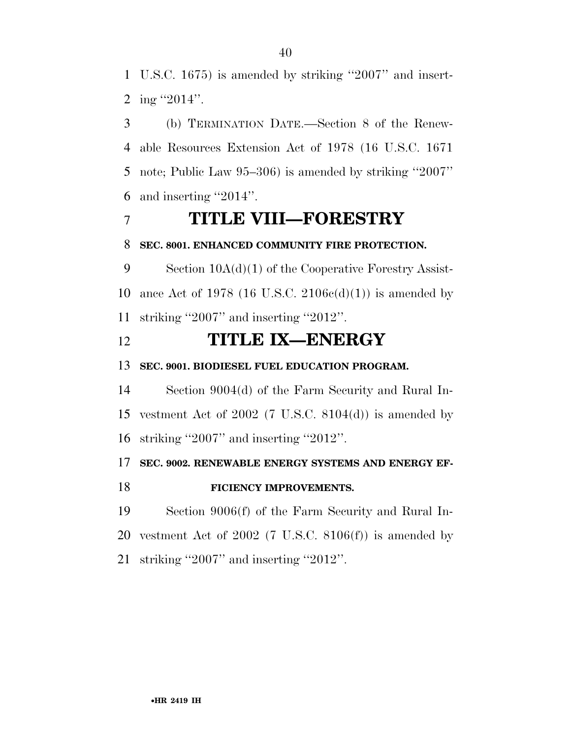U.S.C. 1675) is amended by striking ''2007'' and insert-2 ing  $"2014"$ .

 (b) TERMINATION DATE.—Section 8 of the Renew- able Resources Extension Act of 1978 (16 U.S.C. 1671 note; Public Law 95–306) is amended by striking ''2007'' and inserting ''2014''.

### **TITLE VIII—FORESTRY**

### **SEC. 8001. ENHANCED COMMUNITY FIRE PROTECTION.**

 Section 10A(d)(1) of the Cooperative Forestry Assist-10 ance Act of 1978 (16 U.S.C. 2106 $c(d)(1)$ ) is amended by striking ''2007'' and inserting ''2012''.

### **TITLE IX—ENERGY**

**SEC. 9001. BIODIESEL FUEL EDUCATION PROGRAM.** 

 Section 9004(d) of the Farm Security and Rural In- vestment Act of 2002 (7 U.S.C. 8104(d)) is amended by striking ''2007'' and inserting ''2012''.

### **SEC. 9002. RENEWABLE ENERGY SYSTEMS AND ENERGY EF-**

### **FICIENCY IMPROVEMENTS.**

 Section 9006(f) of the Farm Security and Rural In-20 vestment Act of 2002 (7 U.S.C.  $8106(f)$ ) is amended by striking ''2007'' and inserting ''2012''.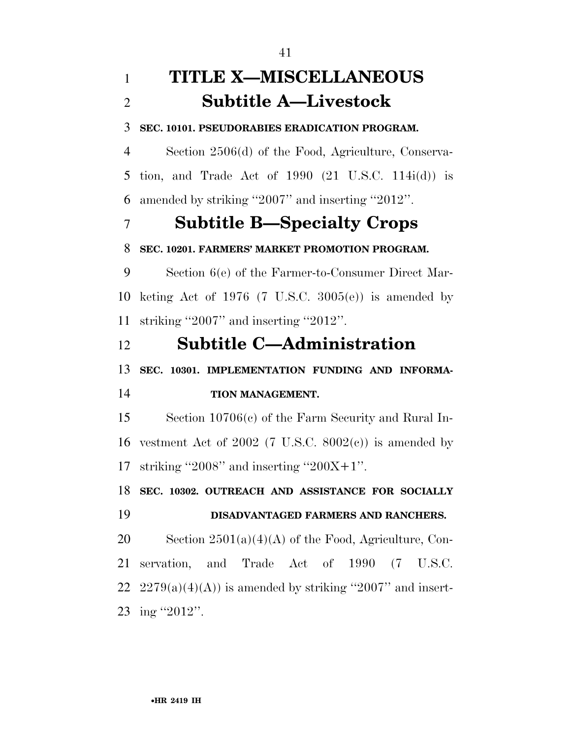## **TITLE X—MISCELLANEOUS Subtitle A—Livestock**

**SEC. 10101. PSEUDORABIES ERADICATION PROGRAM.** 

 Section 2506(d) of the Food, Agriculture, Conserva- tion, and Trade Act of 1990 (21 U.S.C. 114i(d)) is amended by striking ''2007'' and inserting ''2012''.

### **Subtitle B—Specialty Crops**

### **SEC. 10201. FARMERS' MARKET PROMOTION PROGRAM.**

 Section 6(e) of the Farmer-to-Consumer Direct Mar- keting Act of 1976 (7 U.S.C. 3005(e)) is amended by striking ''2007'' and inserting ''2012''.

### **Subtitle C—Administration**

 **SEC. 10301. IMPLEMENTATION FUNDING AND INFORMA-TION MANAGEMENT.** 

 Section 10706(c) of the Farm Security and Rural In-16 vestment Act of 2002 (7 U.S.C.  $8002(e)$ ) is amended by 17 striking "2008" and inserting "200 $X+1$ ".

**SEC. 10302. OUTREACH AND ASSISTANCE FOR SOCIALLY** 

### **DISADVANTAGED FARMERS AND RANCHERS.**

20 Section  $2501(a)(4)(A)$  of the Food, Agriculture, Con- servation, and Trade Act of 1990 (7 U.S.C.  $2279(a)(4)(A)$  is amended by striking "2007" and insert-ing ''2012''.